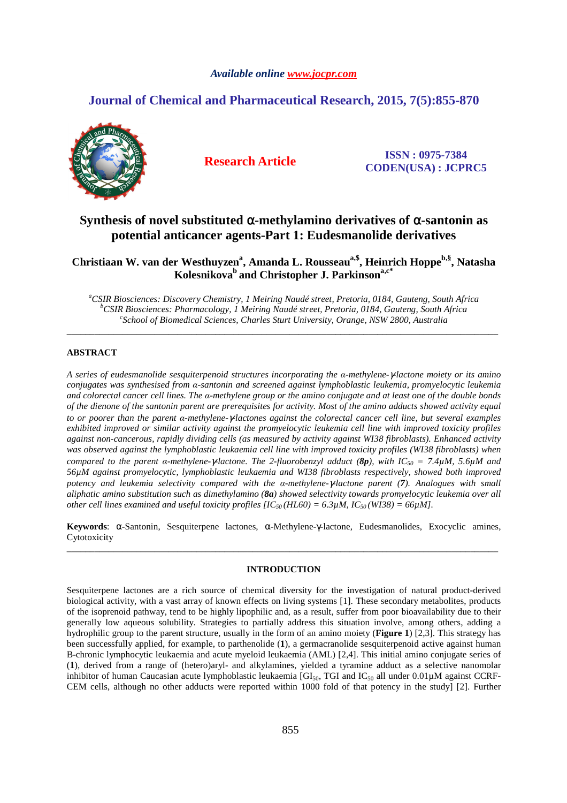# *Available online www.jocpr.com*

# **Journal of Chemical and Pharmaceutical Research, 2015, 7(5):855-870**



**Research Article ISSN : 0975-7384 CODEN(USA) : JCPRC5**

# **Synthesis of novel substituted** α**-methylamino derivatives of** α**-santonin as potential anticancer agents-Part 1: Eudesmanolide derivatives**

**Christiaan W. van der Westhuyzen<sup>a</sup> , Amanda L. Rousseaua,\$, Heinrich Hoppeb,§, Natasha Kolesnikova<sup>b</sup>and Christopher J. Parkinsona,c\***

*<sup>a</sup>CSIR Biosciences: Discovery Chemistry, 1 Meiring Naudé street, Pretoria, 0184, Gauteng, South Africa <sup>b</sup>CSIR Biosciences: Pharmacology, 1 Meiring Naudé street, Pretoria, 0184, Gauteng, South Africa c School of Biomedical Sciences, Charles Sturt University, Orange, NSW 2800, Australia* 

\_\_\_\_\_\_\_\_\_\_\_\_\_\_\_\_\_\_\_\_\_\_\_\_\_\_\_\_\_\_\_\_\_\_\_\_\_\_\_\_\_\_\_\_\_\_\_\_\_\_\_\_\_\_\_\_\_\_\_\_\_\_\_\_\_\_\_\_\_\_\_\_\_\_\_\_\_\_\_\_\_\_\_\_\_\_\_\_\_\_\_\_\_

# **ABSTRACT**

*A series of eudesmanolide sesquiterpenoid structures incorporating the α-methylene-*γ*-lactone moiety or its amino conjugates was synthesised from α-santonin and screened against lymphoblastic leukemia, promyelocytic leukemia and colorectal cancer cell lines. The α-methylene group or the amino conjugate and at least one of the double bonds of the dienone of the santonin parent are prerequisites for activity. Most of the amino adducts showed activity equal to or poorer than the parent α-methylene-*γ*-lactones against the colorectal cancer cell line, but several examples exhibited improved or similar activity against the promyelocytic leukemia cell line with improved toxicity profiles against non-cancerous, rapidly dividing cells (as measured by activity against WI38 fibroblasts). Enhanced activity was observed against the lymphoblastic leukaemia cell line with improved toxicity profiles (WI38 fibroblasts) when compared to the parent α-methylene-*γ*-lactone. The 2-fluorobenzyl adduct (8p), with IC50 = 7.4µM, 5.6µM and 56µM against promyelocytic, lymphoblastic leukaemia and WI38 fibroblasts respectively, showed both improved potency and leukemia selectivity compared with the α-methylene-*γ*-lactone parent (7). Analogues with small aliphatic amino substitution such as dimethylamino (8a) showed selectivity towards promyelocytic leukemia over all other cell lines examined and useful toxicity profiles [IC50 (HL60) = 6.3µM, IC50 (WI38) = 66µM].* 

**Keywords**: α-Santonin, Sesquiterpene lactones, α-Methylene-γ-lactone, Eudesmanolides, Exocyclic amines, Cytotoxicity \_\_\_\_\_\_\_\_\_\_\_\_\_\_\_\_\_\_\_\_\_\_\_\_\_\_\_\_\_\_\_\_\_\_\_\_\_\_\_\_\_\_\_\_\_\_\_\_\_\_\_\_\_\_\_\_\_\_\_\_\_\_\_\_\_\_\_\_\_\_\_\_\_\_\_\_\_\_\_\_\_\_\_\_\_\_\_\_\_\_\_\_\_

#### **INTRODUCTION**

Sesquiterpene lactones are a rich source of chemical diversity for the investigation of natural product-derived biological activity, with a vast array of known effects on living systems [1]. These secondary metabolites, products of the isoprenoid pathway, tend to be highly lipophilic and, as a result, suffer from poor bioavailability due to their generally low aqueous solubility. Strategies to partially address this situation involve, among others, adding a hydrophilic group to the parent structure, usually in the form of an amino moiety (**Figure 1**) [2,3]. This strategy has been successfully applied, for example, to parthenolide (**1**), a germacranolide sesquiterpenoid active against human B-chronic lymphocytic leukaemia and acute myeloid leukaemia (AML) [2,4]. This initial amino conjugate series of (**1**), derived from a range of (hetero)aryl- and alkylamines, yielded a tyramine adduct as a selective nanomolar inhibitor of human Caucasian acute lymphoblastic leukaemia [GI<sub>50</sub>, TGI and  $IC_{50}$  all under 0.01µM against CCRF-CEM cells, although no other adducts were reported within 1000 fold of that potency in the study] [2]. Further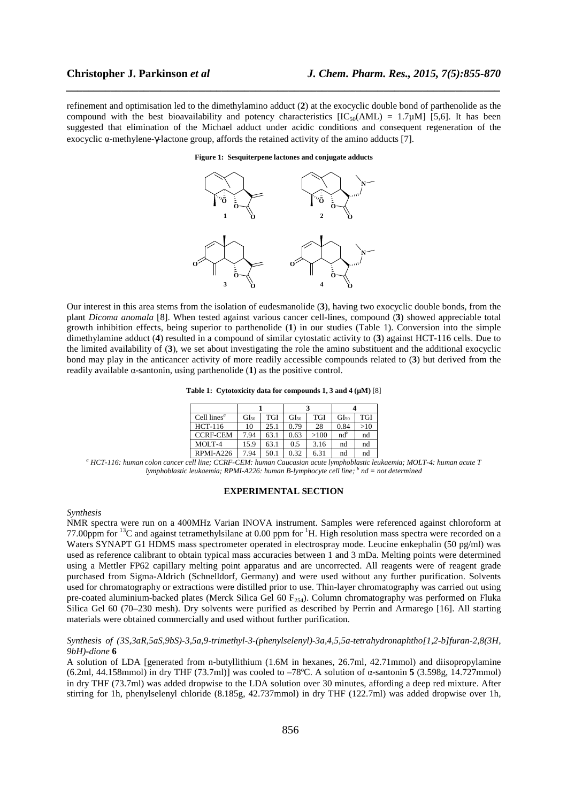refinement and optimisation led to the dimethylamino adduct (**2**) at the exocyclic double bond of parthenolide as the compound with the best bioavailability and potency characteristics  $[IC_{50}(AML) = 1.7 \mu M]$  [5,6]. It has been suggested that elimination of the Michael adduct under acidic conditions and consequent regeneration of the exocyclic α-methylene-γ-lactone group, affords the retained activity of the amino adducts [7].

*\_\_\_\_\_\_\_\_\_\_\_\_\_\_\_\_\_\_\_\_\_\_\_\_\_\_\_\_\_\_\_\_\_\_\_\_\_\_\_\_\_\_\_\_\_\_\_\_\_\_\_\_\_\_\_\_\_\_\_\_\_\_\_\_\_\_\_\_\_\_\_\_\_\_\_\_\_\_*

**Figure 1: Sesquiterpene lactones and conjugate adducts** 



Our interest in this area stems from the isolation of eudesmanolide (**3**), having two exocyclic double bonds, from the plant *Dicoma anomala* [8]. When tested against various cancer cell-lines, compound (**3**) showed appreciable total growth inhibition effects, being superior to parthenolide (**1**) in our studies (Table 1). Conversion into the simple dimethylamine adduct (**4**) resulted in a compound of similar cytostatic activity to (**3**) against HCT-116 cells. Due to the limited availability of (**3**), we set about investigating the role the amino substituent and the additional exocyclic bond may play in the anticancer activity of more readily accessible compounds related to (**3**) but derived from the readily available α-santonin, using parthenolide (**1**) as the positive control.

**Table 1: Cytotoxicity data for compounds 1, 3 and 4 (µM)** [8]

| Cell lines <sup><math>a</math></sup> | GI <sub>50</sub> | TGI  | GI <sub>50</sub> | <b>TGI</b> | GI <sub>50</sub> | TGI |
|--------------------------------------|------------------|------|------------------|------------|------------------|-----|
| HCT-116                              | 10               | 25.1 | 0.79             | 28         | 0.84             | >10 |
| <b>CCRF-CEM</b>                      | 7.94             | 63.1 | 0.63             | >100       | $nd^p$           | nd  |
| $MOLT-4$                             | 15.9             | 63.1 | 0.5              | 3.16       | nd               | nd  |
| RPMI-A226                            | 7.94             | 50.1 | 0.32             | 6.31       | nd               | nd  |

*a HCT-116: human colon cancer cell line; CCRF-CEM: human Caucasian acute lymphoblastic leukaemia; MOLT-4: human acute T lymphoblastic leukaemia; RPMI-A226: human B-lymphocyte cell line; <sup>b</sup> nd = not determined* 

# **EXPERIMENTAL SECTION**

#### *Synthesis*

NMR spectra were run on a 400MHz Varian INOVA instrument. Samples were referenced against chloroform at 77.00ppm for  ${}^{13}C$  and against tetramethylsilane at 0.00 ppm for <sup>1</sup>H. High resolution mass spectra were recorded on a Waters SYNAPT G1 HDMS mass spectrometer operated in electrospray mode. Leucine enkephalin (50 pg/ml) was used as reference calibrant to obtain typical mass accuracies between 1 and 3 mDa. Melting points were determined using a Mettler FP62 capillary melting point apparatus and are uncorrected. All reagents were of reagent grade purchased from Sigma-Aldrich (Schnelldorf, Germany) and were used without any further purification. Solvents used for chromatography or extractions were distilled prior to use. Thin-layer chromatography was carried out using pre-coated aluminium-backed plates (Merck Silica Gel 60 F<sub>254</sub>). Column chromatography was performed on Fluka Silica Gel 60 (70–230 mesh). Dry solvents were purified as described by Perrin and Armarego [16]. All starting materials were obtained commercially and used without further purification.

# *Synthesis of (3S,3aR,5aS,9bS)-3,5a,9-trimethyl-3-(phenylselenyl)-3a,4,5,5a-tetrahydronaphtho[1,2-b]furan-2,8(3H, 9bH)-dione* **6**

A solution of LDA [generated from n-butyllithium (1.6M in hexanes, 26.7ml, 42.71mmol) and diisopropylamine (6.2ml, 44.158mmol) in dry THF (73.7ml)] was cooled to –78ºC. A solution of α-santonin **5** (3.598g, 14.727mmol) in dry THF (73.7ml) was added dropwise to the LDA solution over 30 minutes, affording a deep red mixture. After stirring for 1h, phenylselenyl chloride (8.185g, 42.737mmol) in dry THF (122.7ml) was added dropwise over 1h,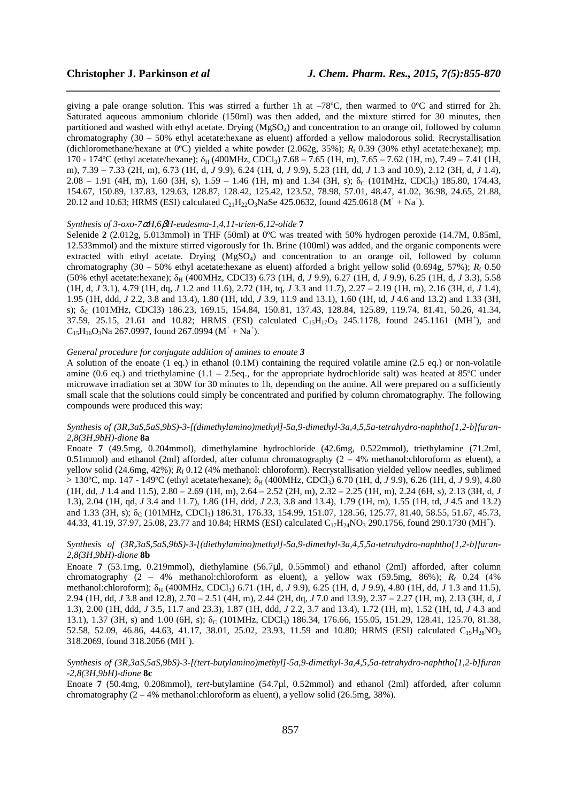giving a pale orange solution. This was stirred a further 1h at –78ºC, then warmed to 0ºC and stirred for 2h. Saturated aqueous ammonium chloride (150ml) was then added, and the mixture stirred for 30 minutes, then partitioned and washed with ethyl acetate. Drying (MgSO4) and concentration to an orange oil, followed by column chromatography (30 – 50% ethyl acetate:hexane as eluent) afforded a yellow malodorous solid. Recrystallisation (dichloromethane/hexane at 0ºC) yielded a white powder (2.062g, 35%); *R*<sup>f</sup> 0.39 (30% ethyl acetate:hexane); mp. 170 - 174°C (ethyl acetate/hexane); δ<sub>H</sub> (400MHz, CDCl<sub>3</sub>) 7.68 – 7.65 (1H, m), 7.65 – 7.62 (1H, m), 7.49 – 7.41 (1H, m), 7.39 – 7.33 (2H, m), 6.73 (1H, d, *J* 9.9), 6.24 (1H, d, *J* 9.9), 5.23 (1H, dd, *J* 1.3 and 10.9), 2.12 (3H, d, *J* 1.4),  $2.08 - 1.91$  (4H, m), 1.60 (3H, s), 1.59 – 1.46 (1H, m) and 1.34 (3H, s);  $\delta_C$  (101MHz, CDCl<sub>3</sub>) 185.80, 174.43, 154.67, 150.89, 137.83, 129.63, 128.87, 128.42, 125.42, 123.52, 78.98, 57.01, 48.47, 41.02, 36.98, 24.65, 21.88, 20.12 and 10.63; HRMS (ESI) calculated  $C_{21}H_{22}O_3NaSe$  425.0632, found 425.0618 ( $M^+ + Na^+$ ).

*\_\_\_\_\_\_\_\_\_\_\_\_\_\_\_\_\_\_\_\_\_\_\_\_\_\_\_\_\_\_\_\_\_\_\_\_\_\_\_\_\_\_\_\_\_\_\_\_\_\_\_\_\_\_\_\_\_\_\_\_\_\_\_\_\_\_\_\_\_\_\_\_\_\_\_\_\_\_*

## *Synthesis of 3-oxo-7*α*H,6*β*H-eudesma-1,4,11-trien-6,12-olide* **7**

Selenide  $2$  (2.012g, 5.013mmol) in THF (50ml) at 0°C was treated with 50% hydrogen peroxide (14.7M, 0.85ml, 12.533mmol) and the mixture stirred vigorously for 1h. Brine (100ml) was added, and the organic components were extracted with ethyl acetate. Drying (MgSO<sub>4</sub>) and concentration to an orange oil, followed by column chromatography  $(30 - 50\%$  ethyl acetate:hexane as eluent) afforded a bright yellow solid  $(0.694g, 57\%); R_f \, 0.50$ (50% ethyl acetate:hexane); δ<sub>H</sub> (400MHz, CDCl3) 6.73 (1H, d, *J* 9.9), 6.27 (1H, d, *J* 9.9), 6.25 (1H, d, *J* 3.3), 5.58 (1H, d, *J* 3.1), 4.79 (1H, dq, *J* 1.2 and 11.6), 2.72 (1H, tq, *J* 3.3 and 11.7), 2.27 – 2.19 (1H, m), 2.16 (3H, d, *J* 1.4), 1.95 (1H, ddd, *J* 2.2, 3.8 and 13.4), 1.80 (1H, tdd, *J* 3.9, 11.9 and 13.1), 1.60 (1H, td, *J* 4.6 and 13.2) and 1.33 (3H, s);  $\delta_c$  (101MHz, CDCl3) 186.23, 169.15, 154.84, 150.81, 137.43, 128.84, 125.89, 119.74, 81.41, 50.26, 41.34, 37.59, 25.15, 21.61 and 10.82; HRMS (ESI) calculated  $C_{15}H_{17}O_3$  245.1178, found 245.1161 (MH<sup>+</sup>), and  $C_{15}H_{16}O_3$ Na 267.0997, found 267.0994 (M<sup>+</sup> + Na<sup>+</sup>).

#### *General procedure for conjugate addition of amines to enoate 3*

A solution of the enoate (1 eq.) in ethanol (0.1M) containing the required volatile amine (2.5 eq.) or non-volatile amine (0.6 eq.) and triethylamine (1.1 – 2.5eq., for the appropriate hydrochloride salt) was heated at 85 $^{\circ}$ C under microwave irradiation set at 30W for 30 minutes to 1h, depending on the amine. All were prepared on a sufficiently small scale that the solutions could simply be concentrated and purified by column chromatography. The following compounds were produced this way:

# *Synthesis of (3R,3aS,5aS,9bS)-3-[(dimethylamino)methyl]-5a,9-dimethyl-3a,4,5,5a-tetrahydro-naphtho[1,2-b]furan-2,8(3H,9bH)-dione* **8a**

Enoate **7** (49.5mg, 0.204mmol), dimethylamine hydrochloride (42.6mg, 0.522mmol), triethylamine (71.2ml, 0.51mmol) and ethanol (2ml) afforded, after column chromatography ( $2 - 4%$  methanol:chloroform as eluent), a yellow solid (24.6mg, 42%);  $R_f$  0.12 (4% methanol: chloroform). Recrystallisation yielded yellow needles, sublimed  $> 130^{\circ}$ C, mp. 147 - 149<sup>o</sup>C (ethyl acetate/hexane);  $\delta_H$  (400MHz, CDCl<sub>3</sub>) 6.70 (1H, d, *J* 9.9), 6.26 (1H, d, *J* 9.9), 4.80 (1H, dd, *J* 1.4 and 11.5), 2.80 – 2.69 (1H, m), 2.64 – 2.52 (2H, m), 2.32 – 2.25 (1H, m), 2.24 (6H, s), 2.13 (3H, d, *J* 1.3), 2.04 (1H, qd, *J* 3.4 and 11.7), 1.86 (1H, ddd, *J* 2.3, 3.8 and 13.4), 1.79 (1H, m), 1.55 (1H, td, *J* 4.5 and 13.2) and 1.33 (3H, s);  $\delta_C$  (101MHz, CDCl<sub>3</sub>) 186.31, 176.33, 154.99, 151.07, 128.56, 125.77, 81.40, 58.55, 51.67, 45.73, 44.33, 41.19, 37.97, 25.08, 23.77 and 10.84; HRMS (ESI) calculated  $C_{17}H_{24}NO_3$  290.1756, found 290.1730 (MH<sup>+</sup>).

# *Synthesis of (3R,3aS,5aS,9bS)-3-[(diethylamino)methyl]-5a,9-dimethyl-3a,4,5,5a-tetrahydro-naphtho[1,2-b]furan-2,8(3H,9bH)-dione* **8b**

Enoate **7** (53.1mg, 0.219mmol), diethylamine (56.7µl, 0.55mmol) and ethanol (2ml) afforded, after column chromatography  $(2 - 4\%$  methanol:chloroform as eluent), a yellow wax  $(59.5mg, 86\%)$ ;  $R_f$  0.24  $(4\%$ methanol:chloroform); δ<sub>H</sub> (400MHz, CDCl<sub>3</sub>) 6.71 (1H, d, *J* 9.9), 6.25 (1H, d, *J* 9.9), 4.80 (1H, dd, *J* 1.3 and 11.5), 2.94 (1H, dd, *J* 3.8 and 12.8), 2.70 – 2.51 (4H, m), 2.44 (2H, dq, *J* 7.0 and 13.9), 2.37 – 2.27 (1H, m), 2.13 (3H, d, *J* 1.3), 2.00 (1H, ddd, *J* 3.5, 11.7 and 23.3), 1.87 (1H, ddd, *J* 2.2, 3.7 and 13.4), 1.72 (1H, m), 1.52 (1H, td, *J* 4.3 and 13.1), 1.37 (3H, s) and 1.00 (6H, s);  $\delta_C$  (101MHz, CDCl<sub>3</sub>) 186.34, 176.66, 155.05, 151.29, 128.41, 125.70, 81.38, 52.58, 52.09, 46.86, 44.63, 41.17, 38.01, 25.02, 23.93, 11.59 and 10.80; HRMS (ESI) calculated C<sub>19</sub>H<sub>28</sub>NO<sub>3</sub> 318.2069, found 318.2056 (MH<sup>+</sup>).

## *Synthesis of (3R,3aS,5aS,9bS)-3-[(tert-butylamino)methyl]-5a,9-dimethyl-3a,4,5,5a-tetrahydro-naphtho[1,2-b]furan -2,8(3H,9bH)-dione* **8c**

Enoate **7** (50.4mg, 0.208mmol), *tert*-butylamine (54.7µl, 0.52mmol) and ethanol (2ml) afforded, after column chromatography  $(2 - 4%$  methanol:chloroform as eluent), a yellow solid (26.5mg, 38%).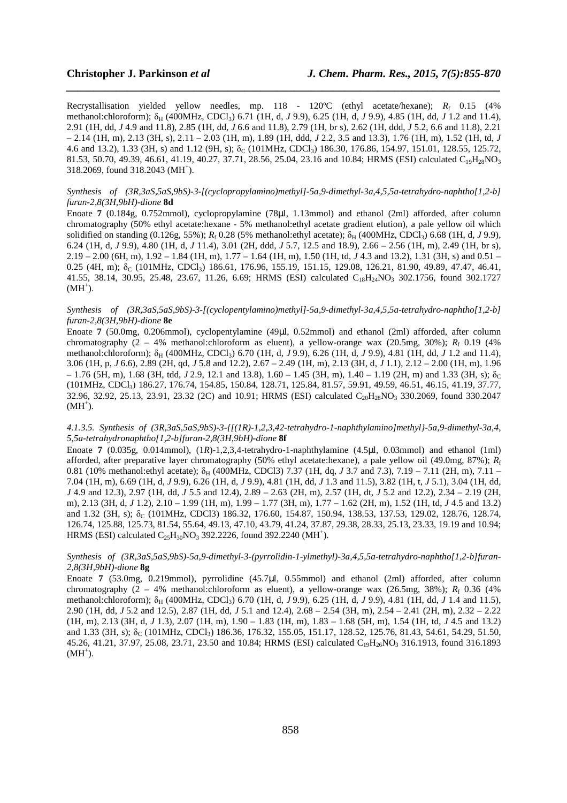Recrystallisation yielded yellow needles, mp. 118 - 120°C (ethyl acetate/hexane);  $R_f$  0.15 (4%) methanol:chloroform); δ<sub>H</sub> (400MHz, CDCl<sub>3</sub>) 6.71 (1H, d, *J* 9.9), 6.25 (1H, d, *J* 9.9), 4.85 (1H, dd, *J* 1.2 and 11.4), 2.91 (1H, dd, *J* 4.9 and 11.8), 2.85 (1H, dd, *J* 6.6 and 11.8), 2.79 (1H, br s), 2.62 (1H, ddd, *J* 5.2, 6.6 and 11.8), 2.21 – 2.14 (1H, m), 2.13 (3H, s), 2.11 – 2.03 (1H, m), 1.89 (1H, ddd, *J* 2.2, 3.5 and 13.3), 1.76 (1H, m), 1.52 (1H, td, *J* 4.6 and 13.2), 1.33 (3H, s) and 1.12 (9H, s);  $\delta_C$  (101MHz, CDCl<sub>3</sub>) 186.30, 176.86, 154.97, 151.01, 128.55, 125.72, 81.53, 50.70, 49.39, 46.61, 41.19, 40.27, 37.71, 28.56, 25.04, 23.16 and 10.84; HRMS (ESI) calculated C<sub>19</sub>H<sub>28</sub>NO<sub>3</sub> 318.2069, found 318.2043 (MH<sup>+</sup>).

*\_\_\_\_\_\_\_\_\_\_\_\_\_\_\_\_\_\_\_\_\_\_\_\_\_\_\_\_\_\_\_\_\_\_\_\_\_\_\_\_\_\_\_\_\_\_\_\_\_\_\_\_\_\_\_\_\_\_\_\_\_\_\_\_\_\_\_\_\_\_\_\_\_\_\_\_\_\_*

#### *Synthesis of (3R,3aS,5aS,9bS)-3-[(cyclopropylamino)methyl]-5a,9-dimethyl-3a,4,5,5a-tetrahydro-naphtho[1,2-b] furan-2,8(3H,9bH)-dione* **8d**

Enoate **7** (0.184g, 0.752mmol), cyclopropylamine (78µl, 1.13mmol) and ethanol (2ml) afforded, after column chromatography (50% ethyl acetate:hexane - 5% methanol:ethyl acetate gradient elution), a pale yellow oil which solidified on standing  $(0.126g, 55\%)$ ;  $R_f 0.28$  (5% methanol:ethyl acetate);  $\delta_H$  (400MHz, CDCl<sub>3</sub>) 6.68 (1H, d, *J* 9.9), 6.24 (1H, d, *J* 9.9), 4.80 (1H, d, *J* 11.4), 3.01 (2H, ddd, *J* 5.7, 12.5 and 18.9), 2.66 – 2.56 (1H, m), 2.49 (1H, br s), 2.19 – 2.00 (6H, m), 1.92 – 1.84 (1H, m), 1.77 – 1.64 (1H, m), 1.50 (1H, td, *J* 4.3 and 13.2), 1.31 (3H, s) and 0.51 – 0.25 (4H, m);  $\delta_C$  (101MHz, CDCl<sub>3</sub>) 186.61, 176.96, 155.19, 151.15, 129.08, 126.21, 81.90, 49.89, 47.47, 46.41, 41.55, 38.14, 30.95, 25.48, 23.67, 11.26, 6.69; HRMS (ESI) calculated C<sub>18</sub>H<sub>24</sub>NO<sub>3</sub> 302.1756, found 302.1727  $(MH^+).$ 

*Synthesis of (3R,3aS,5aS,9bS)-3-[(cyclopentylamino)methyl]-5a,9-dimethyl-3a,4,5,5a-tetrahydro-naphtho[1,2-b] furan-2,8(3H,9bH)-dione* **8e** 

Enoate **7** (50.0mg, 0.206mmol), cyclopentylamine (49µl, 0.52mmol) and ethanol (2ml) afforded, after column chromatography  $(2 - 4\%$  methanol:chloroform as eluent), a yellow-orange wax  $(20.5mg, 30\%); R_f \, 0.19 \, (4\%$ methanol:chloroform); δ<sub>H</sub> (400MHz, CDCl<sub>3</sub>) 6.70 (1H, d, *J* 9.9), 6.26 (1H, d, *J* 9.9), 4.81 (1H, dd, *J* 1.2 and 11.4), 3.06 (1H, p, *J* 6.6), 2.89 (2H, qd, *J* 5.8 and 12.2), 2.67 – 2.49 (1H, m), 2.13 (3H, d, *J* 1.1), 2.12 – 2.00 (1H, m), 1.96  $-1.76$  (5H, m), 1.68 (3H, tdd, *J* 2.9, 12.1 and 13.8), 1.60 – 1.45 (3H, m), 1.40 – 1.19 (2H, m) and 1.33 (3H, s);  $\delta_C$ (101MHz, CDCl3) 186.27, 176.74, 154.85, 150.84, 128.71, 125.84, 81.57, 59.91, 49.59, 46.51, 46.15, 41.19, 37.77, 32.96, 32.92, 25.13, 23.91, 23.32 (2C) and 10.91; HRMS (ESI) calculated C<sub>20</sub>H<sub>28</sub>NO<sub>3</sub> 330.2069, found 330.2047  $(MH^{\dagger})$ .

#### *4.1.3.5. Synthesis of (3R,3aS,5aS,9bS)-3-{[(1R)-1,2,3,42-tetrahydro-1-naphthylamino]methyl}-5a,9-dimethyl-3a,4, 5,5a-tetrahydronaphtho[1,2-b]furan-2,8(3H,9bH)-dione* **8f**

Enoate **7** (0.035g, 0.014mmol), (1*R*)-1,2,3,4-tetrahydro-1-naphthylamine (4.5µl, 0.03mmol) and ethanol (1ml) afforded, after preparative layer chromatography (50% ethyl acetate:hexane), a pale yellow oil (49.0mg, 87%); *R*<sup>f</sup> 0.81 (10% methanol:ethyl acetate); δ<sub>H</sub> (400MHz, CDCl3) 7.37 (1H, dq, *J* 3.7 and 7.3), 7.19 – 7.11 (2H, m), 7.11 – 7.04 (1H, m), 6.69 (1H, d, *J* 9.9), 6.26 (1H, d, *J* 9.9), 4.81 (1H, dd, *J* 1.3 and 11.5), 3.82 (1H, t, *J* 5.1), 3.04 (1H, dd, *J* 4.9 and 12.3), 2.97 (1H, dd, *J* 5.5 and 12.4), 2.89 – 2.63 (2H, m), 2.57 (1H, dt, *J* 5.2 and 12.2), 2.34 – 2.19 (2H, m), 2.13 (3H, d, *J* 1.2), 2.10 – 1.99 (1H, m), 1.99 – 1.77 (3H, m), 1.77 – 1.62 (2H, m), 1.52 (1H, td, *J* 4.5 and 13.2) and 1.32 (3H, s);  $\delta_C$  (101MHz, CDCl3) 186.32, 176.60, 154.87, 150.94, 138.53, 137.53, 129.02, 128.76, 128.74, 126.74, 125.88, 125.73, 81.54, 55.64, 49.13, 47.10, 43.79, 41.24, 37.87, 29.38, 28.33, 25.13, 23.33, 19.19 and 10.94; HRMS (ESI) calculated  $C_{25}H_{30}NO_3$  392.2226, found 392.2240 (MH<sup>+</sup>).

# *Synthesis of (3R,3aS,5aS,9bS)-5a,9-dimethyl-3-(pyrrolidin-1-ylmethyl)-3a,4,5,5a-tetrahydro-naphtho[1,2-b]furan-2,8(3H,9bH)-dione* **8g**

Enoate **7** (53.0mg, 0.219mmol), pyrrolidine (45.7µl, 0.55mmol) and ethanol (2ml) afforded, after column chromatography  $(2 - 4\%)$  methanol:chloroform as eluent), a yellow-orange wax  $(26.5mg, 38\%)$ ;  $R_f$  0.36  $(4\%)$ methanol:chloroform); δ<sub>H</sub> (400MHz, CDCl<sub>3</sub>) 6.70 (1H, d, *J* 9.9), 6.25 (1H, d, *J* 9.9), 4.81 (1H, dd, *J* 1.4 and 11.5), 2.90 (1H, dd, *J* 5.2 and 12.5), 2.87 (1H, dd, *J* 5.1 and 12.4), 2.68 – 2.54 (3H, m), 2.54 – 2.41 (2H, m), 2.32 – 2.22 (1H, m), 2.13 (3H, d, *J* 1.3), 2.07 (1H, m), 1.90 – 1.83 (1H, m), 1.83 – 1.68 (5H, m), 1.54 (1H, td, *J* 4.5 and 13.2) and 1.33 (3H, s);  $\delta_c$  (101MHz, CDCl<sub>3</sub>) 186.36, 176.32, 155.05, 151.17, 128.52, 125.76, 81.43, 54.61, 54.29, 51.50, 45.26, 41.21, 37.97, 25.08, 23.71, 23.50 and 10.84; HRMS (ESI) calculated C19H26NO3 316.1913, found 316.1893  $(MH^+).$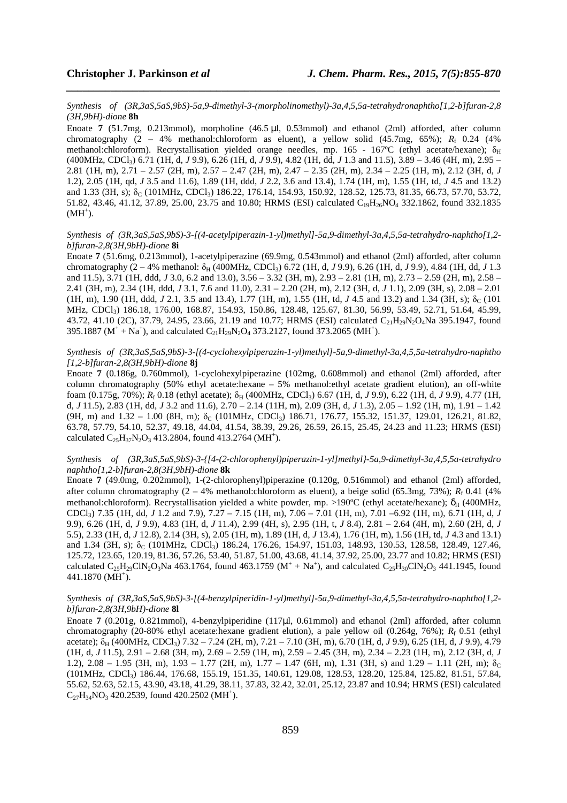*Synthesis of (3R,3aS,5aS,9bS)-5a,9-dimethyl-3-(morpholinomethyl)-3a,4,5,5a-tetrahydronaphtho[1,2-b]furan-2,8 (3H,9bH)-dione* **8h** 

*\_\_\_\_\_\_\_\_\_\_\_\_\_\_\_\_\_\_\_\_\_\_\_\_\_\_\_\_\_\_\_\_\_\_\_\_\_\_\_\_\_\_\_\_\_\_\_\_\_\_\_\_\_\_\_\_\_\_\_\_\_\_\_\_\_\_\_\_\_\_\_\_\_\_\_\_\_\_*

Enoate **7** (51.7mg, 0.213mmol), morpholine (46.5 µl, 0.53mmol) and ethanol (2ml) afforded, after column chromatography  $(2 - 4\%$  methanol:chloroform as eluent), a yellow solid  $(45.7mg, 65\%)$ ;  $R_f$  0.24 (4%) methanol:chloroform). Recrystallisation yielded orange needles, mp. 165 - 167°C (ethyl acetate/hexane);  $\delta_H$ (400MHz, CDCl3) 6.71 (1H, d, *J* 9.9), 6.26 (1H, d, *J* 9.9), 4.82 (1H, dd, *J* 1.3 and 11.5), 3.89 – 3.46 (4H, m), 2.95 – 2.81 (1H, m), 2.71 – 2.57 (2H, m), 2.57 – 2.47 (2H, m), 2.47 – 2.35 (2H, m), 2.34 – 2.25 (1H, m), 2.12 (3H, d, *J* 1.2), 2.05 (1H, qd, *J* 3.5 and 11.6), 1.89 (1H, ddd, *J* 2.2, 3.6 and 13.4), 1.74 (1H, m), 1.55 (1H, td, *J* 4.5 and 13.2) and 1.33 (3H, s);  $\delta_C$  (101MHz, CDCl<sub>3</sub>) 186.22, 176.14, 154.93, 150.92, 128.52, 125.73, 81.35, 66.73, 57.70, 53.72, 51.82, 43.46, 41.12, 37.89, 25.00, 23.75 and 10.80; HRMS (ESI) calculated C<sub>19</sub>H<sub>26</sub>NO<sub>4</sub> 332.1862, found 332.1835  $(MH^+).$ 

#### *Synthesis of (3R,3aS,5aS,9bS)-3-[(4-acetylpiperazin-1-yl)methyl]-5a,9-dimethyl-3a,4,5,5a-tetrahydro-naphtho[1,2 b]furan-2,8(3H,9bH)-dione* **8i**

Enoate **7** (51.6mg, 0.213mmol), 1-acetylpiperazine (69.9mg, 0.543mmol) and ethanol (2ml) afforded, after column chromatography (2 – 4% methanol: δ<sub>H</sub> (400MHz, CDCl<sub>3</sub>) 6.72 (1H, d, *J* 9.9), 6.26 (1H, d, *J* 9.9), 4.84 (1H, dd, *J* 1.3 and 11.5), 3.71 (1H, ddd, *J* 3.0, 6.2 and 13.0), 3.56 – 3.32 (3H, m), 2.93 – 2.81 (1H, m), 2.73 – 2.59 (2H, m), 2.58 – 2.41 (3H, m), 2.34 (1H, ddd, *J* 3.1, 7.6 and 11.0), 2.31 – 2.20 (2H, m), 2.12 (3H, d, *J* 1.1), 2.09 (3H, s), 2.08 – 2.01 (1H, m), 1.90 (1H, ddd, *J* 2.1, 3.5 and 13.4), 1.77 (1H, m), 1.55 (1H, td, *J* 4.5 and 13.2) and 1.34 (3H, s);  $\delta_c$  (101) MHz, CDCl<sub>3</sub>) 186.18, 176.00, 168.87, 154.93, 150.86, 128.48, 125.67, 81.30, 56.99, 53.49, 52.71, 51.64, 45.99, 43.72, 41.10 (2C), 37.79, 24.95, 23.66, 21.19 and 10.77; HRMS (ESI) calculated C<sub>21</sub>H<sub>29</sub>N<sub>2</sub>O<sub>4</sub>Na 395.1947, found 395.1887 ( $M^+ + Na^+$ ), and calculated  $C_{21}H_{29}N_2O_4$  373.2127, found 373.2065 (MH<sup>+</sup>).

# *Synthesis of (3R,3aS,5aS,9bS)-3-[(4-cyclohexylpiperazin-1-yl)methyl]-5a,9-dimethyl-3a,4,5,5a-tetrahydro-naphtho [1,2-b]furan-2,8(3H,9bH)-dione* **8j**

Enoate **7** (0.186g, 0.760mmol), 1-cyclohexylpiperazine (102mg, 0.608mmol) and ethanol (2ml) afforded, after column chromatography (50% ethyl acetate:hexane – 5% methanol:ethyl acetate gradient elution), an off-white foam (0.175g, 70%);  $R_f$  0.18 (ethyl acetate); δ<sub>H</sub> (400MHz, CDCl<sub>3</sub>) 6.67 (1H, d, *J* 9.9), 6.22 (1H, d, *J* 9.9), 4.77 (1H, d, *J* 11.5), 2.83 (1H, dd, *J* 3.2 and 11.6), 2.70 – 2.14 (11H, m), 2.09 (3H, d, *J* 1.3), 2.05 – 1.92 (1H, m), 1.91 – 1.42  $(9H, m)$  and  $1.32 - 1.00$   $(8H, m)$ ;  $\delta_C$   $(101MHz, CDCl_3)$  186.71, 176.77, 155.32, 151.37, 129.01, 126.21, 81.82, 63.78, 57.79, 54.10, 52.37, 49.18, 44.04, 41.54, 38.39, 29.26, 26.59, 26.15, 25.45, 24.23 and 11.23; HRMS (ESI) calculated  $C_{25}H_{37}N_2O_3$  413.2804, found 413.2764 (MH<sup>+</sup>).

# *Synthesis of (3R,3aS,5aS,9bS)-3-{[4-(2-chlorophenyl)piperazin-1-yl]methyl}-5a,9-dimethyl-3a,4,5,5a-tetrahydro naphtho[1,2-b]furan-2,8(3H,9bH)-dione* **8k**

Enoate **7** (49.0mg, 0.202mmol), 1-(2-chlorophenyl)piperazine (0.120g, 0.516mmol) and ethanol (2ml) afforded, after column chromatography  $(2 - 4\%$  methanol:chloroform as eluent), a beige solid (65.3mg, 73%);  $R_f$  0.41 (4%) methanol:chloroform). Recrystallisation yielded a white powder, mp. >190°C (ethyl acetate/hexane);  $\delta_H$  (400MHz, CDCl3) 7.35 (1H, dd, *J* 1.2 and 7.9), 7.27 – 7.15 (1H, m), 7.06 – 7.01 (1H, m), 7.01 –6.92 (1H, m), 6.71 (1H, d, *J* 9.9), 6.26 (1H, d, *J* 9.9), 4.83 (1H, d, *J* 11.4), 2.99 (4H, s), 2.95 (1H, t, *J* 8.4), 2.81 – 2.64 (4H, m), 2.60 (2H, d, *J* 5.5), 2.33 (1H, d, *J* 12.8), 2.14 (3H, s), 2.05 (1H, m), 1.89 (1H, d, *J* 13.4), 1.76 (1H, m), 1.56 (1H, td, *J* 4.3 and 13.1) and 1.34 (3H, s);  $\delta_C$  (101MHz, CDCl<sub>3</sub>) 186.24, 176.26, 154.97, 151.03, 148.93, 130.53, 128.58, 128.49, 127.46, 125.72, 123.65, 120.19, 81.36, 57.26, 53.40, 51.87, 51.00, 43.68, 41.14, 37.92, 25.00, 23.77 and 10.82; HRMS (ESI) calculated  $C_{25}H_{29}CIN_2O_3Na$  463.1764, found 463.1759 ( $M^+ + Na^+$ ), and calculated  $C_{25}H_{30}CIN_2O_3$  441.1945, found 441.1870 (MH<sup>+</sup>).

# *Synthesis of (3R,3aS,5aS,9bS)-3-[(4-benzylpiperidin-1-yl)methyl]-5a,9-dimethyl-3a,4,5,5a-tetrahydro-naphtho[1,2 b]furan-2,8(3H,9bH)-dione* **8l**

Enoate **7** (0.201g, 0.821mmol), 4-benzylpiperidine (117µl, 0.61mmol) and ethanol (2ml) afforded, after column chromatography (20-80% ethyl acetate:hexane gradient elution), a pale yellow oil (0.264g, 76%); *R*<sup>f</sup> 0.51 (ethyl acetate);  $\delta_H$  (400MHz, CDCl<sub>3</sub>) 7.32 – 7.24 (2H, m), 7.21 – 7.10 (3H, m), 6.70 (1H, d, *J* 9.9), 6.25 (1H, d, *J* 9.9), 4.79 (1H, d, *J* 11.5), 2.91 – 2.68 (3H, m), 2.69 – 2.59 (1H, m), 2.59 – 2.45 (3H, m), 2.34 – 2.23 (1H, m), 2.12 (3H, d, *J* 1.2),  $2.08 - 1.95$  (3H, m),  $1.93 - 1.77$  (2H, m),  $1.77 - 1.47$  (6H, m),  $1.31$  (3H, s) and  $1.29 - 1.11$  (2H, m);  $\delta_c$ (101MHz, CDCl3) 186.44, 176.68, 155.19, 151.35, 140.61, 129.08, 128.53, 128.20, 125.84, 125.82, 81.51, 57.84, 55.62, 52.63, 52.15, 43.90, 43.18, 41.29, 38.11, 37.83, 32.42, 32.01, 25.12, 23.87 and 10.94; HRMS (ESI) calculated  $C_{27}H_{34}NO_3$  420.2539, found 420.2502 (MH<sup>+</sup>).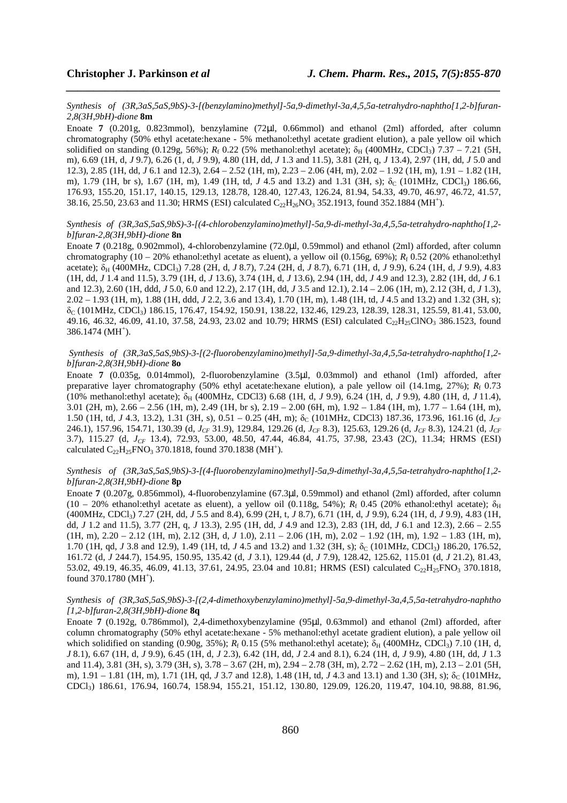#### *Synthesis of (3R,3aS,5aS,9bS)-3-[(benzylamino)methyl]-5a,9-dimethyl-3a,4,5,5a-tetrahydro-naphtho[1,2-b]furan-2,8(3H,9bH)-dione* **8m**

*\_\_\_\_\_\_\_\_\_\_\_\_\_\_\_\_\_\_\_\_\_\_\_\_\_\_\_\_\_\_\_\_\_\_\_\_\_\_\_\_\_\_\_\_\_\_\_\_\_\_\_\_\_\_\_\_\_\_\_\_\_\_\_\_\_\_\_\_\_\_\_\_\_\_\_\_\_\_*

Enoate **7** (0.201g, 0.823mmol), benzylamine (72µl, 0.66mmol) and ethanol (2ml) afforded, after column chromatography (50% ethyl acetate:hexane - 5% methanol:ethyl acetate gradient elution), a pale yellow oil which solidified on standing  $(0.129g, 56%)$ ;  $R_f$  0.22 (5% methanol:ethyl acetate);  $\delta_H$  (400MHz, CDCl<sub>3</sub>) 7.37 – 7.21 (5H, m), 6.69 (1H, d, *J* 9.7), 6.26 (1, d, *J* 9.9), 4.80 (1H, dd, *J* 1.3 and 11.5), 3.81 (2H, q, *J* 13.4), 2.97 (1H, dd, *J* 5.0 and 12.3), 2.85 (1H, dd, *J* 6.1 and 12.3), 2.64 – 2.52 (1H, m), 2.23 – 2.06 (4H, m), 2.02 – 1.92 (1H, m), 1.91 – 1.82 (1H, m), 1.79 (1H, br s), 1.67 (1H, m), 1.49 (1H, td, *J* 4.5 and 13.2) and 1.31 (3H, s); δ<sub>C</sub> (101MHz, CDCl<sub>3</sub>) 186.66, 176.93, 155.20, 151.17, 140.15, 129.13, 128.78, 128.40, 127.43, 126.24, 81.94, 54.33, 49.70, 46.97, 46.72, 41.57, 38.16, 25.50, 23.63 and 11.30; HRMS (ESI) calculated  $C_{22}H_{26}NO_3$  352.1913, found 352.1884 (MH<sup>+</sup>).

# *Synthesis of (3R,3aS,5aS,9bS)-3-[(4-chlorobenzylamino)methyl]-5a,9-di-methyl-3a,4,5,5a-tetrahydro-naphtho[1,2 b]furan-2,8(3H,9bH)-dione* **8n**

Enoate **7** (0.218g, 0.902mmol), 4-chlorobenzylamine (72.0µl, 0.59mmol) and ethanol (2ml) afforded, after column chromatography (10 – 20% ethanol:ethyl acetate as eluent), a yellow oil (0.156g, 69%); *R*<sup>f</sup> 0.52 (20% ethanol:ethyl acetate);  $\delta_H$  (400MHz, CDCl<sub>3</sub>) 7.28 (2H, d, *J* 8.7), 7.24 (2H, d, *J* 8.7), 6.71 (1H, d, *J* 9.9), 6.24 (1H, d, *J* 9.9), 4.83 (1H, dd, *J* 1.4 and 11.5), 3.79 (1H, d, *J* 13.6), 3.74 (1H, d, *J* 13.6), 2.94 (1H, dd, *J* 4.9 and 12.3), 2.82 (1H, dd, *J* 6.1 and 12.3), 2.60 (1H, ddd, *J* 5.0, 6.0 and 12.2), 2.17 (1H, dd, *J* 3.5 and 12.1), 2.14 – 2.06 (1H, m), 2.12 (3H, d, *J* 1.3), 2.02 – 1.93 (1H, m), 1.88 (1H, ddd, *J* 2.2, 3.6 and 13.4), 1.70 (1H, m), 1.48 (1H, td, *J* 4.5 and 13.2) and 1.32 (3H, s);  $\delta_c$  (101MHz, CDCl<sub>3</sub>) 186.15, 176.47, 154.92, 150.91, 138.22, 132.46, 129.23, 128.39, 128.31, 125.59, 81.41, 53.00, 49.16, 46.32, 46.09, 41.10, 37.58, 24.93, 23.02 and 10.79; HRMS (ESI) calculated C22H25ClNO3 386.1523, found  $386.1474 \, (MH<sup>+</sup>).$ 

# *Synthesis of (3R,3aS,5aS,9bS)-3-[(2-fluorobenzylamino)methyl]-5a,9-dimethyl-3a,4,5,5a-tetrahydro-naphtho[1,2 b]furan-2,8(3H,9bH)-dione* **8o**

Enoate **7** (0.035g, 0.014mmol), 2-fluorobenzylamine (3.5µl, 0.03mmol) and ethanol (1ml) afforded, after preparative layer chromatography (50% ethyl acetate:hexane elution), a pale yellow oil (14.1mg, 27%);  $R_f$  0.73 (10% methanol:ethyl acetate); δH (400MHz, CDCl3) 6.68 (1H, d, *J* 9.9), 6.24 (1H, d, *J* 9.9), 4.80 (1H, d, *J* 11.4), 3.01 (2H, m), 2.66 – 2.56 (1H, m), 2.49 (1H, br s), 2.19 – 2.00 (6H, m), 1.92 – 1.84 (1H, m), 1.77 – 1.64 (1H, m), 1.50 (1H, td, *J* 4.3, 13.2), 1.31 (3H, s), 0.51 – 0.25 (4H, m); δ<sub>C</sub> (101MHz, CDCl3) 187.36, 173.96, 161.16 (d, *J<sub>CF</sub>* 246.1), 157.96, 154.71, 130.39 (d, *JCF* 31.9), 129.84, 129.26 (d, *JCF* 8.3), 125.63, 129.26 (d, *JCF* 8.3), 124.21 (d, *JCF* 3.7), 115.27 (d, *JCF* 13.4), 72.93, 53.00, 48.50, 47.44, 46.84, 41.75, 37.98, 23.43 (2C), 11.34; HRMS (ESI) calculated  $C_{22}H_{25}FNO_3$  370.1818, found 370.1838 (MH<sup>+</sup>).

# *Synthesis of (3R,3aS,5aS,9bS)-3-[(4-fluorobenzylamino)methyl]-5a,9-dimethyl-3a,4,5,5a-tetrahydro-naphtho[1,2 b]furan-2,8(3H,9bH)-dione* **8p**

Enoate **7** (0.207g, 0.856mmol), 4-fluorobenzylamine (67.3µl, 0.59mmol) and ethanol (2ml) afforded, after column (10 – 20% ethanol:ethyl acetate as eluent), a yellow oil (0.118g, 54%);  $R_f$  0.45 (20% ethanol:ethyl acetate);  $\delta_H$ (400MHz, CDCl3) 7.27 (2H, dd, *J* 5.5 and 8.4), 6.99 (2H, t, *J* 8.7), 6.71 (1H, d, *J* 9.9), 6.24 (1H, d, *J* 9.9), 4.83 (1H, dd, *J* 1.2 and 11.5), 3.77 (2H, q, *J* 13.3), 2.95 (1H, dd, *J* 4.9 and 12.3), 2.83 (1H, dd, *J* 6.1 and 12.3), 2.66 – 2.55 (1H, m), 2.20 – 2.12 (1H, m), 2.12 (3H, d, *J* 1.0), 2.11 – 2.06 (1H, m), 2.02 – 1.92 (1H, m), 1.92 – 1.83 (1H, m), 1.70 (1H, qd, *J* 3.8 and 12.9), 1.49 (1H, td, *J* 4.5 and 13.2) and 1.32 (3H, s); δ<sub>C</sub> (101MHz, CDCl<sub>3</sub>) 186.20, 176.52, 161.72 (d, *J* 244.7), 154.95, 150.95, 135.42 (d, *J* 3.1), 129.44 (d, *J* 7.9), 128.42, 125.62, 115.01 (d, *J* 21.2), 81.43, 53.02, 49.19, 46.35, 46.09, 41.13, 37.61, 24.95, 23.04 and 10.81; HRMS (ESI) calculated C<sub>22</sub>H<sub>25</sub>FNO<sub>3</sub> 370.1818, found  $370.1780$  (MH<sup>+</sup>).

# *Synthesis of (3R,3aS,5aS,9bS)-3-[(2,4-dimethoxybenzylamino)methyl]-5a,9-dimethyl-3a,4,5,5a-tetrahydro-naphtho [1,2-b]furan-2,8(3H,9bH)-dione* **8q**

Enoate **7** (0.192g, 0.786mmol), 2,4-dimethoxybenzylamine (95µl, 0.63mmol) and ethanol (2ml) afforded, after column chromatography (50% ethyl acetate:hexane - 5% methanol:ethyl acetate gradient elution), a pale yellow oil which solidified on standing  $(0.90g, 35\%)$ ;  $R_f$  0.15 (5% methanol:ethyl acetate);  $\delta_H$  (400MHz, CDCl<sub>3</sub>) 7.10 (1H, d, *J* 8.1), 6.67 (1H, d, *J* 9.9), 6.45 (1H, d, *J* 2.3), 6.42 (1H, dd, *J* 2.4 and 8.1), 6.24 (1H, d, *J* 9.9), 4.80 (1H, dd, *J* 1.3 and 11.4), 3.81 (3H, s), 3.79 (3H, s), 3.78 – 3.67 (2H, m), 2.94 – 2.78 (3H, m), 2.72 – 2.62 (1H, m), 2.13 – 2.01 (5H, m), 1.91 – 1.81 (1H, m), 1.71 (1H, qd, *J* 3.7 and 12.8), 1.48 (1H, td, *J* 4.3 and 13.1) and 1.30 (3H, s); δ<sub>C</sub> (101MHz, CDCl3) 186.61, 176.94, 160.74, 158.94, 155.21, 151.12, 130.80, 129.09, 126.20, 119.47, 104.10, 98.88, 81.96,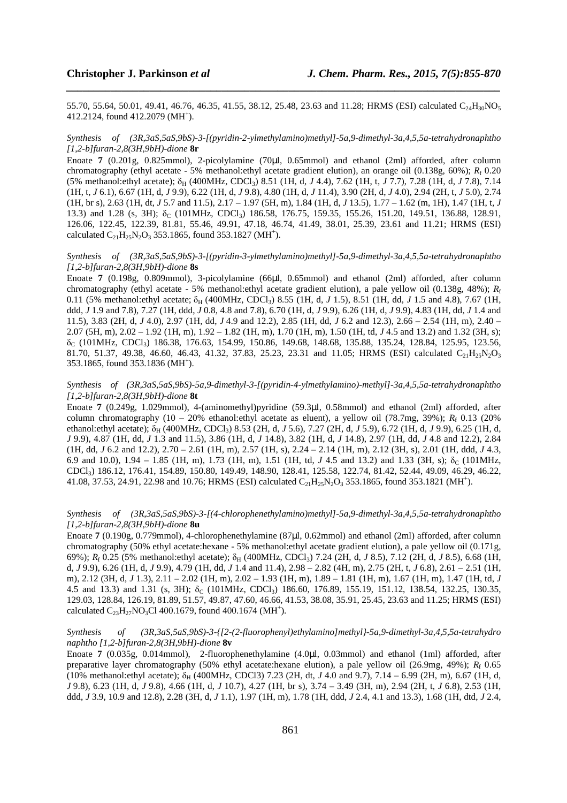55.70, 55.64, 50.01, 49.41, 46.76, 46.35, 41.55, 38.12, 25.48, 23.63 and 11.28; HRMS (ESI) calculated C<sub>24</sub>H<sub>30</sub>NO<sub>5</sub> 412.2124, found 412.2079 (MH<sup>+</sup>).

*\_\_\_\_\_\_\_\_\_\_\_\_\_\_\_\_\_\_\_\_\_\_\_\_\_\_\_\_\_\_\_\_\_\_\_\_\_\_\_\_\_\_\_\_\_\_\_\_\_\_\_\_\_\_\_\_\_\_\_\_\_\_\_\_\_\_\_\_\_\_\_\_\_\_\_\_\_\_*

#### *Synthesis of (3R,3aS,5aS,9bS)-3-[(pyridin-2-ylmethylamino)methyl]-5a,9-dimethyl-3a,4,5,5a-tetrahydronaphtho [1,2-b]furan-2,8(3H,9bH)-dione* **8r**

Enoate **7** (0.201g, 0.825mmol), 2-picolylamine (70µl, 0.65mmol) and ethanol (2ml) afforded, after column chromatography (ethyl acetate - 5% methanol:ethyl acetate gradient elution), an orange oil (0.138g, 60%); *R*<sup>f</sup> 0.20 (5% methanol: ethyl acetate); δ<sub>H</sub> (400MHz, CDCl<sub>3</sub>) 8.51 (1H, d, *J* 4.4), 7.62 (1H, t, *J* 7.7), 7.28 (1H, d, *J* 7.8), 7.14 (1H, t, *J* 6.1), 6.67 (1H, d, *J* 9.9), 6.22 (1H, d, *J* 9.8), 4.80 (1H, d, *J* 11.4), 3.90 (2H, d, *J* 4.0), 2.94 (2H, t, *J* 5.0), 2.74 (1H, br s), 2.63 (1H, dt, *J* 5.7 and 11.5), 2.17 – 1.97 (5H, m), 1.84 (1H, d, *J* 13.5), 1.77 – 1.62 (m, 1H), 1.47 (1H, t, *J* 13.3) and 1.28 (s, 3H); δ<sub>C</sub> (101MHz, CDCl<sub>3</sub>) 186.58, 176.75, 159.35, 155.26, 151.20, 149.51, 136.88, 128.91, 126.06, 122.45, 122.39, 81.81, 55.46, 49.91, 47.18, 46.74, 41.49, 38.01, 25.39, 23.61 and 11.21; HRMS (ESI) calculated  $C_{21}H_{25}N_2O_3$  353.1865, found 353.1827 (MH<sup>+</sup>).

# *Synthesis of (3R,3aS,5aS,9bS)-3-[(pyridin-3-ylmethylamino)methyl]-5a,9-dimethyl-3a,4,5,5a-tetrahydronaphtho [1,2-b]furan-2,8(3H,9bH)-dione* **8s**

Enoate **7** (0.198g, 0.809mmol), 3-picolylamine (66µl, 0.65mmol) and ethanol (2ml) afforded, after column chromatography (ethyl acetate - 5% methanol:ethyl acetate gradient elution), a pale yellow oil (0.138g, 48%);  $R_f$ 0.11 (5% methanol: ethyl acetate; δ<sub>H</sub> (400MHz, CDCl<sub>3</sub>) 8.55 (1H, d, *J* 1.5), 8.51 (1H, dd, *J* 1.5 and 4.8), 7.67 (1H, ddd, *J* 1.9 and 7.8), 7.27 (1H, ddd, *J* 0.8, 4.8 and 7.8), 6.70 (1H, d, *J* 9.9), 6.26 (1H, d, *J* 9.9), 4.83 (1H, dd, *J* 1.4 and 11.5), 3.83 (2H, d, *J* 4.0), 2.97 (1H, dd, *J* 4.9 and 12.2), 2.85 (1H, dd, *J* 6.2 and 12.3), 2.66 – 2.54 (1H, m), 2.40 – 2.07 (5H, m), 2.02 – 1.92 (1H, m), 1.92 – 1.82 (1H, m), 1.70 (1H, m), 1.50 (1H, td, *J* 4.5 and 13.2) and 1.32 (3H, s);  $\delta_c$  (101MHz, CDCl<sub>3</sub>) 186.38, 176.63, 154.99, 150.86, 149.68, 148.68, 135.88, 135.24, 128.84, 125.95, 123.56, 81.70, 51.37, 49.38, 46.60, 46.43, 41.32, 37.83, 25.23, 23.31 and 11.05; HRMS (ESI) calculated C<sub>21</sub>H<sub>25</sub>N<sub>2</sub>O<sub>3</sub> 353.1865, found 353.1836 (MH<sup>+</sup>).

*Synthesis of (3R,3aS,5aS,9bS)-5a,9-dimethyl-3-[(pyridin-4-ylmethylamino)-methyl]-3a,4,5,5a-tetrahydronaphtho [1,2-b]furan-2,8(3H,9bH)-dione* **8t**

Enoate **7** (0.249g, 1.029mmol), 4-(aminomethyl)pyridine (59.3µl, 0.58mmol) and ethanol (2ml) afforded, after column chromatography  $(10 - 20\%$  ethanol:ethyl acetate as eluent), a yellow oil  $(78.7mg, 39\%); R<sub>f</sub> 0.13 (20\%$ ethanol:ethyl acetate); δ<sub>H</sub> (400MHz, CDCl<sub>3</sub>) 8.53 (2H, d, *J* 5.6), 7.27 (2H, d, *J* 5.9), 6.72 (1H, d, *J* 9.9), 6.25 (1H, d, *J* 9.9), 4.87 (1H, dd, *J* 1.3 and 11.5), 3.86 (1H, d, *J* 14.8), 3.82 (1H, d, *J* 14.8), 2.97 (1H, dd, *J* 4.8 and 12.2), 2.84 (1H, dd, *J* 6.2 and 12.2), 2.70 – 2.61 (1H, m), 2.57 (1H, s), 2.24 – 2.14 (1H, m), 2.12 (3H, s), 2.01 (1H, ddd, *J* 4.3, 6.9 and 10.0),  $1.94 - 1.85$  (1H, m),  $1.73$  (1H, m),  $1.51$  (1H, td, *J* 4.5 and 13.2) and 1.33 (3H, s);  $\delta_c$  (101MHz, CDCl3) 186.12, 176.41, 154.89, 150.80, 149.49, 148.90, 128.41, 125.58, 122.74, 81.42, 52.44, 49.09, 46.29, 46.22, 41.08, 37.53, 24.91, 22.98 and 10.76; HRMS (ESI) calculated  $C_{21}H_{25}N_2O_3$  353.1865, found 353.1821 (MH<sup>+</sup>).

# *Synthesis of (3R,3aS,5aS,9bS)-3-[(4-chlorophenethylamino)methyl]-5a,9-dimethyl-3a,4,5,5a-tetrahydronaphtho [1,2-b]furan-2,8(3H,9bH)-dione* **8u**

Enoate **7** (0.190g, 0.779mmol), 4-chlorophenethylamine (87µl, 0.62mmol) and ethanol (2ml) afforded, after column chromatography (50% ethyl acetate:hexane - 5% methanol:ethyl acetate gradient elution), a pale yellow oil (0.171g, 69%);  $R_f$  0.25 (5% methanol:ethyl acetate);  $\delta_H$  (400MHz, CDCl<sub>3</sub>) 7.24 (2H, d, *J* 8.5), 7.12 (2H, d, *J* 8.5), 6.68 (1H, d, *J* 9.9), 6.26 (1H, d, *J* 9.9), 4.79 (1H, dd, *J* 1.4 and 11.4), 2.98 – 2.82 (4H, m), 2.75 (2H, t, *J* 6.8), 2.61 – 2.51 (1H, m), 2.12 (3H, d, *J* 1.3), 2.11 – 2.02 (1H, m), 2.02 – 1.93 (1H, m), 1.89 – 1.81 (1H, m), 1.67 (1H, m), 1.47 (1H, td, *J* 4.5 and 13.3) and 1.31 (s, 3H);  $\delta_C$  (101MHz, CDCl<sub>3</sub>) 186.60, 176.89, 155.19, 151.12, 138.54, 132.25, 130.35, 129.03, 128.84, 126.19, 81.89, 51.57, 49.87, 47.60, 46.66, 41.53, 38.08, 35.91, 25.45, 23.63 and 11.25; HRMS (ESI) calculated  $C_{23}H_{27}NO_3Cl$  400.1679, found 400.1674 (MH<sup>+</sup>).

*Synthesis of (3R,3aS,5aS,9bS)-3-{[2-(2-fluorophenyl)ethylamino]methyl}-5a,9-dimethyl-3a,4,5,5a-tetrahydro naphtho [1,2-b]furan-2,8(3H,9bH)-dione* **8v** 

Enoate **7** (0.035g, 0.014mmol), 2-fluorophenethylamine (4.0µl, 0.03mmol) and ethanol (1ml) afforded, after preparative layer chromatography (50% ethyl acetate:hexane elution), a pale yellow oil (26.9mg, 49%); *R*<sup>f</sup> 0.65 (10% methanol:ethyl acetate); δ<sub>H</sub> (400MHz, CDCl3) 7.23 (2H, dt, *J* 4.0 and 9.7), 7.14 – 6.99 (2H, m), 6.67 (1H, d, *J* 9.8), 6.23 (1H, d, *J* 9.8), 4.66 (1H, d, *J* 10.7), 4.27 (1H, br s), 3.74 – 3.49 (3H, m), 2.94 (2H, t, *J* 6.8), 2.53 (1H, ddd, *J* 3.9, 10.9 and 12.8), 2.28 (3H, d, *J* 1.1), 1.97 (1H, m), 1.78 (1H, ddd, *J* 2.4, 4.1 and 13.3), 1.68 (1H, dtd, *J* 2.4,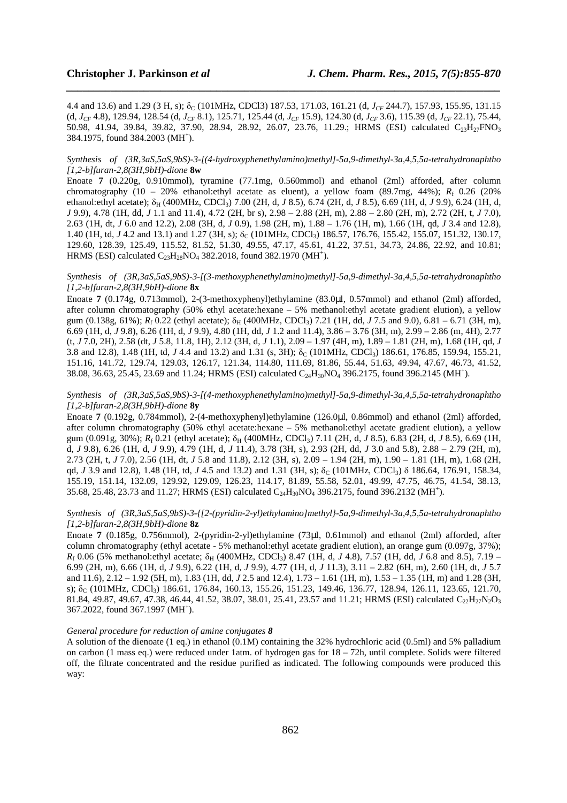4.4 and 13.6) and 1.29 (3 H, s); δ<sub>C</sub> (101MHz, CDCl3) 187.53, 171.03, 161.21 (d, *J<sub>CF</sub>* 244.7), 157.93, 155.95, 131.15 (d, *JCF* 4.8), 129.94, 128.54 (d, *JCF* 8.1), 125.71, 125.44 (d, *JCF* 15.9), 124.30 (d, *JCF* 3.6), 115.39 (d, *JCF* 22.1), 75.44, 50.98, 41.94, 39.84, 39.82, 37.90, 28.94, 28.92, 26.07, 23.76, 11.29.; HRMS (ESI) calculated C<sub>23</sub>H<sub>27</sub>FNO<sub>3</sub> 384.1975, found 384.2003 (MH<sup>+</sup>).

*\_\_\_\_\_\_\_\_\_\_\_\_\_\_\_\_\_\_\_\_\_\_\_\_\_\_\_\_\_\_\_\_\_\_\_\_\_\_\_\_\_\_\_\_\_\_\_\_\_\_\_\_\_\_\_\_\_\_\_\_\_\_\_\_\_\_\_\_\_\_\_\_\_\_\_\_\_\_*

#### *Synthesis of (3R,3aS,5aS,9bS)-3-[(4-hydroxyphenethylamino)methyl]-5a,9-dimethyl-3a,4,5,5a-tetrahydronaphtho [1,2-b]furan-2,8(3H,9bH)-dione* **8w**

Enoate **7** (0.220g, 0.910mmol), tyramine (77.1mg, 0.560mmol) and ethanol (2ml) afforded, after column chromatography  $(10 - 20\%$  ethanol: ethyl acetate as eluent), a yellow foam  $(89.7mg, 44\%); R_f \, 0.26 \, (20\%)$ ethanol:ethyl acetate); δ<sub>H</sub> (400MHz, CDCl<sub>3</sub>) 7.00 (2H, d, *J* 8.5), 6.74 (2H, d, *J* 8.5), 6.69 (1H, d, *J* 9.9), 6.24 (1H, d, *J* 9.9), 4.78 (1H, dd, *J* 1.1 and 11.4), 4.72 (2H, br s), 2.98 – 2.88 (2H, m), 2.88 – 2.80 (2H, m), 2.72 (2H, t, *J* 7.0), 2.63 (1H, dt, *J* 6.0 and 12.2), 2.08 (3H, d, *J* 0.9), 1.98 (2H, m), 1.88 – 1.76 (1H, m), 1.66 (1H, qd, *J* 3.4 and 12.8), 1.40 (1H, td, *J* 4.2 and 13.1) and 1.27 (3H, s); δ<sub>C</sub> (101MHz, CDCl<sub>3</sub>) 186.57, 176.76, 155.42, 155.07, 151.32, 130.17, 129.60, 128.39, 125.49, 115.52, 81.52, 51.30, 49.55, 47.17, 45.61, 41.22, 37.51, 34.73, 24.86, 22.92, and 10.81; HRMS (ESI) calculated  $C_{23}H_{28}NO_4$  382.2018, found 382.1970 (MH<sup>+</sup>).

# *Synthesis of (3R,3aS,5aS,9bS)-3-[(3-methoxyphenethylamino)methyl]-5a,9-dimethyl-3a,4,5,5a-tetrahydronaphtho [1,2-b]furan-2,8(3H,9bH)-dione* **8x**

Enoate **7** (0.174g, 0.713mmol), 2-(3-methoxyphenyl)ethylamine (83.0µl, 0.57mmol) and ethanol (2ml) afforded, after column chromatography (50% ethyl acetate:hexane – 5% methanol:ethyl acetate gradient elution), a yellow gum (0.138g, 61%);  $R_f$  0.22 (ethyl acetate);  $\delta_H$  (400MHz, CDCl<sub>3</sub>) 7.21 (1H, dd, *J* 7.5 and 9.0), 6.81 – 6.71 (3H, m), 6.69 (1H, d, *J* 9.8), 6.26 (1H, d, *J* 9.9), 4.80 (1H, dd, *J* 1.2 and 11.4), 3.86 – 3.76 (3H, m), 2.99 – 2.86 (m, 4H), 2.77 (t, *J* 7.0, 2H), 2.58 (dt, *J* 5.8, 11.8, 1H), 2.12 (3H, d, *J* 1.1), 2.09 – 1.97 (4H, m), 1.89 – 1.81 (2H, m), 1.68 (1H, qd, *J* 3.8 and 12.8), 1.48 (1H, td, *J* 4.4 and 13.2) and 1.31 (s, 3H);  $\delta_C$  (101MHz, CDCl<sub>3</sub>) 186.61, 176.85, 159.94, 155.21, 151.16, 141.72, 129.74, 129.03, 126.17, 121.34, 114.80, 111.69, 81.86, 55.44, 51.63, 49.94, 47.67, 46.73, 41.52, 38.08, 36.63, 25.45, 23.69 and 11.24; HRMS (ESI) calculated  $C_{24}H_{30}NO_4$  396.2175, found 396.2145 (MH<sup>+</sup>).

#### *Synthesis of (3R,3aS,5aS,9bS)-3-[(4-methoxyphenethylamino)methyl]-5a,9-dimethyl-3a,4,5,5a-tetrahydronaphtho [1,2-b]furan-2,8(3H,9bH)-dione* **8y**

Enoate **7** (0.192g, 0.784mmol), 2-(4-methoxyphenyl)ethylamine (126.0µl, 0.86mmol) and ethanol (2ml) afforded, after column chromatography (50% ethyl acetate:hexane – 5% methanol:ethyl acetate gradient elution), a yellow gum (0.091g, 30%);  $R_f$  0.21 (ethyl acetate);  $\delta_H$  (400MHz, CDCl<sub>3</sub>) 7.11 (2H, d, *J* 8.5), 6.83 (2H, d, *J* 8.5), 6.69 (1H, d, *J* 9.8), 6.26 (1H, d, *J* 9.9), 4.79 (1H, d, *J* 11.4), 3.78 (3H, s), 2.93 (2H, dd, *J* 3.0 and 5.8), 2.88 – 2.79 (2H, m), 2.73 (2H, t, *J* 7.0), 2.56 (1H, dt, *J* 5.8 and 11.8), 2.12 (3H, s), 2.09 – 1.94 (2H, m), 1.90 – 1.81 (1H, m), 1.68 (2H, qd, *J* 3.9 and 12.8), 1.48 (1H, td, *J* 4.5 and 13.2) and 1.31 (3H, s);  $\delta_C$  (101MHz, CDCl<sub>3</sub>)  $\delta$  186.64, 176.91, 158.34, 155.19, 151.14, 132.09, 129.92, 129.09, 126.23, 114.17, 81.89, 55.58, 52.01, 49.99, 47.75, 46.75, 41.54, 38.13, 35.68, 25.48, 23.73 and 11.27; HRMS (ESI) calculated  $C_{24}H_{30}NO_4$  396.2175, found 396.2132 (MH<sup>+</sup>).

#### *Synthesis of (3R,3aS,5aS,9bS)-3-{[2-(pyridin-2-yl)ethylamino]methyl}-5a,9-dimethyl-3a,4,5,5a-tetrahydronaphtho [1,2-b]furan-2,8(3H,9bH)-dione* **8z**

Enoate **7** (0.185g, 0.756mmol), 2-(pyridin-2-yl)ethylamine (73µl, 0.61mmol) and ethanol (2ml) afforded, after column chromatography (ethyl acetate - 5% methanol:ethyl acetate gradient elution), an orange gum (0.097g, 37%);  $R_f$  0.06 (5% methanol:ethyl acetate;  $\delta_H$  (400MHz, CDCl<sub>3</sub>) 8.47 (1H, d, *J* 4.8), 7.57 (1H, dd, *J* 6.8 and 8.5), 7.19 – 6.99 (2H, m), 6.66 (1H, d, *J* 9.9), 6.22 (1H, d, *J* 9.9), 4.77 (1H, d, *J* 11.3), 3.11 – 2.82 (6H, m), 2.60 (1H, dt, *J* 5.7 and 11.6), 2.12 – 1.92 (5H, m), 1.83 (1H, dd, *J* 2.5 and 12.4), 1.73 – 1.61 (1H, m), 1.53 – 1.35 (1H, m) and 1.28 (3H, s);  $\delta_c$  (101MHz, CDCl<sub>3</sub>) 186.61, 176.84, 160.13, 155.26, 151.23, 149.46, 136.77, 128.94, 126.11, 123.65, 121.70, 81.84, 49.87, 49.67, 47.38, 46.44, 41.52, 38.07, 38.01, 25.41, 23.57 and 11.21; HRMS (ESI) calculated C<sub>22</sub>H<sub>27</sub>N<sub>2</sub>O<sub>3</sub> 367.2022, found 367.1997 (MH<sup>+</sup>).

#### *General procedure for reduction of amine conjugates 8*

A solution of the dienoate (1 eq.) in ethanol (0.1M) containing the 32% hydrochloric acid (0.5ml) and 5% palladium on carbon (1 mass eq.) were reduced under 1atm. of hydrogen gas for 18 – 72h, until complete. Solids were filtered off, the filtrate concentrated and the residue purified as indicated. The following compounds were produced this way: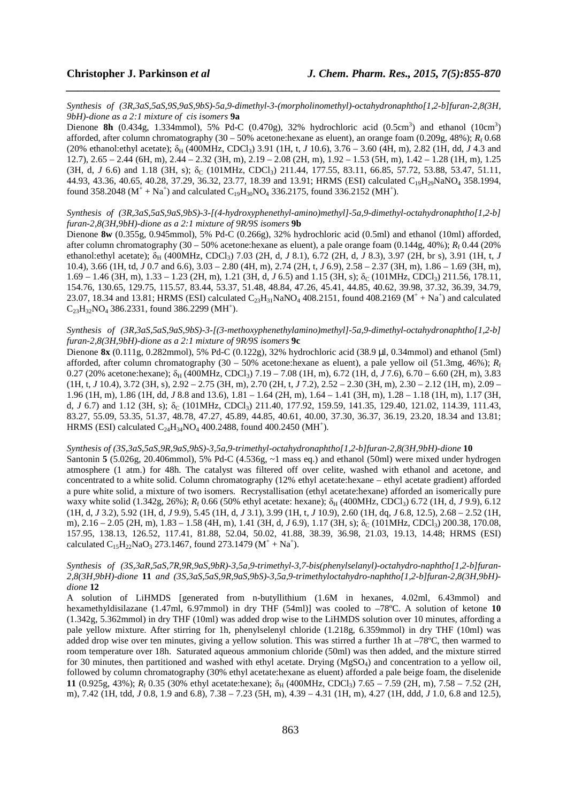*Synthesis of (3R,3aS,5aS,9S,9aS,9bS)-5a,9-dimethyl-3-(morpholinomethyl)-octahydronaphtho[1,2-b]furan-2,8(3H, 9bH)-dione as a 2:1 mixture of cis isomers* **9a**

*\_\_\_\_\_\_\_\_\_\_\_\_\_\_\_\_\_\_\_\_\_\_\_\_\_\_\_\_\_\_\_\_\_\_\_\_\_\_\_\_\_\_\_\_\_\_\_\_\_\_\_\_\_\_\_\_\_\_\_\_\_\_\_\_\_\_\_\_\_\_\_\_\_\_\_\_\_\_*

Dienone 8h  $(0.434g, 1.334mmol)$ , 5% Pd-C  $(0.470g)$ , 32% hydrochloric acid  $(0.5cm<sup>3</sup>)$  and ethanol  $(10cm<sup>3</sup>)$ afforded, after column chromatography  $(30 - 50\%$  acetone:hexane as eluent), an orange foam  $(0.209g, 48\%)$ ;  $R_f$  0.68 (20% ethanol:ethyl acetate);  $\delta_H$  (400MHz, CDCl<sub>3</sub>) 3.91 (1H, t, *J* 10.6), 3.76 – 3.60 (4H, m), 2.82 (1H, dd, *J* 4.3 and 12.7), 2.65 – 2.44 (6H, m), 2.44 – 2.32 (3H, m), 2.19 – 2.08 (2H, m), 1.92 – 1.53 (5H, m), 1.42 – 1.28 (1H, m), 1.25  $(3H, d, J, 6.6)$  and 1.18  $(3H, s)$ ;  $\delta_C$   $(101MHz, CDCl_3)$  211.44, 177.55, 83.11, 66.85, 57.72, 53.88, 53.47, 51.11, 44.93, 43.36, 40.65, 40.28, 37.29, 36.32, 23.77, 18.39 and 13.91; HRMS (ESI) calculated C<sub>19</sub>H<sub>29</sub>NaNO<sub>4</sub> 358.1994, found 358.2048 ( $M^+ + Na^+$ ) and calculated  $C_{19}H_{30}NO_4$  336.2175, found 336.2152 (MH<sup>+</sup>).

*Synthesis of (3R,3aS,5aS,9aS,9bS)-3-[(4-hydroxyphenethyl-amino)methyl]-5a,9-dimethyl-octahydronaphtho[1,2-b] furan-2,8(3H,9bH)-dione as a 2:1 mixture of 9R/9S isomers* **9b**

Dienone **8w** (0.355g, 0.945mmol), 5% Pd-C (0.266g), 32% hydrochloric acid (0.5ml) and ethanol (10ml) afforded, after column chromatography  $(30 - 50\%$  acetone:hexane as eluent), a pale orange foam  $(0.144g, 40\%); R_f 0.44 (20\%$ ethanol:ethyl acetate);  $\delta_H$  (400MHz, CDCl<sub>3</sub>) 7.03 (2H, d, *J* 8.1), 6.72 (2H, d, *J* 8.3), 3.97 (2H, br s), 3.91 (1H, t, *J* 10.4), 3.66 (1H, td, *J* 0.7 and 6.6), 3.03 – 2.80 (4H, m), 2.74 (2H, t, *J* 6.9), 2.58 – 2.37 (3H, m), 1.86 – 1.69 (3H, m),  $1.69 - 1.46$  (3H, m),  $1.33 - 1.23$  (2H, m),  $1.21$  (3H, d,  $J$  6.5) and  $1.15$  (3H, s);  $\delta_C$  (101MHz, CDCl<sub>3</sub>) 211.56, 178.11, 154.76, 130.65, 129.75, 115.57, 83.44, 53.37, 51.48, 48.84, 47.26, 45.41, 44.85, 40.62, 39.98, 37.32, 36.39, 34.79, 23.07, 18.34 and 13.81; HRMS (ESI) calculated  $C_{23}H_{31}NaNO_4$  408.2151, found 408.2169 ( $M^+ + Na^+$ ) and calculated  $C_{23}H_{32}NO_4$  386.2331, found 386.2299 (MH<sup>+</sup>).

# *Synthesis of (3R,3aS,5aS,9aS,9bS)-3-[(3-methoxyphenethylamino)methyl]-5a,9-dimethyl-octahydronaphtho[1,2-b] furan-2,8(3H,9bH)-dione as a 2:1 mixture of 9R/9S isomers* **9c**

Dienone **8x** (0.111g, 0.282mmol), 5% Pd-C (0.122g), 32% hydrochloric acid (38.9 µl, 0.34mmol) and ethanol (5ml) afforded, after column chromatography (30 – 50% acetone:hexane as eluent), a pale yellow oil (51.3mg, 46%); *R*<sup>f</sup> 0.27 (20% acetone:hexane);  $\delta_H$  (400MHz, CDCl<sub>3</sub>) 7.19 – 7.08 (1H, m), 6.72 (1H, d, *J* 7.6), 6.70 – 6.60 (2H, m), 3.83 (1H, t, *J* 10.4), 3.72 (3H, s), 2.92 – 2.75 (3H, m), 2.70 (2H, t, *J* 7.2), 2.52 – 2.30 (3H, m), 2.30 – 2.12 (1H, m), 2.09 – 1.96 (1H, m), 1.86 (1H, dd, *J* 8.8 and 13.6), 1.81 – 1.64 (2H, m), 1.64 – 1.41 (3H, m), 1.28 – 1.18 (1H, m), 1.17 (3H, d, *J* 6.7) and 1.12 (3H, s); δ<sub>C</sub> (101MHz, CDCl<sub>3</sub>) 211.40, 177.92, 159.59, 141.35, 129.40, 121.02, 114.39, 111.43, 83.27, 55.09, 53.35, 51.37, 48.78, 47.27, 45.89, 44.85, 40.61, 40.00, 37.30, 36.37, 36.19, 23.20, 18.34 and 13.81; HRMS (ESI) calculated  $C_{24}H_{34}NO_4$  400.2488, found 400.2450 (MH<sup>+</sup>).

#### *Synthesis of (3S,3aS,5aS,9R,9aS,9bS)-3,5a,9-trimethyl-octahydronaphtho[1,2-b]furan-2,8(3H,9bH)-dione* **10**

Santonin **5** (5.026g, 20.406mmol), 5% Pd-C (4.536g, ~1 mass eq.) and ethanol (50ml) were mixed under hydrogen atmosphere (1 atm.) for 48h. The catalyst was filtered off over celite, washed with ethanol and acetone, and concentrated to a white solid. Column chromatography (12% ethyl acetate:hexane – ethyl acetate gradient) afforded a pure white solid, a mixture of two isomers. Recrystallisation (ethyl acetate:hexane) afforded an isomerically pure waxy white solid (1.342g, 26%);  $R_f$  0.66 (50% ethyl acetate: hexane);  $\delta_H$  (400MHz, CDCl<sub>3</sub>) 6.72 (1H, d, *J* 9.9), 6.12 (1H, d, *J* 3.2), 5.92 (1H, d, *J* 9.9), 5.45 (1H, d, *J* 3.1), 3.99 (1H, t, *J* 10.9), 2.60 (1H, dq, *J* 6.8, 12.5), 2.68 – 2.52 (1H, m), 2.16 – 2.05 (2H, m), 1.83 – 1.58 (4H, m), 1.41 (3H, d, *J* 6.9), 1.17 (3H, s);  $\delta_C$  (101MHz, CDCl<sub>3</sub>) 200.38, 170.08, 157.95, 138.13, 126.52, 117.41, 81.88, 52.04, 50.02, 41.88, 38.39, 36.98, 21.03, 19.13, 14.48; HRMS (ESI) calculated  $C_{15}H_{22}NaO_3$  273.1467, found 273.1479 ( $M^+ + Na^+$ ).

## *Synthesis of (3S,3aR,5aS,7R,9R,9aS,9bR)-3,5a,9-trimethyl-3,7-bis(phenylselanyl)-octahydro-naphtho[1,2-b]furan-2,8(3H,9bH)-dione* **11** *and (3S,3aS,5aS,9R,9aS,9bS)-3,5a,9-trimethyloctahydro-naphtho[1,2-b]furan-2,8(3H,9bH) dione* **12**

A solution of LiHMDS [generated from n-butyllithium (1.6M in hexanes, 4.02ml, 6.43mmol) and hexamethyldisilazane (1.47ml, 6.97mmol) in dry THF (54ml)] was cooled to –78ºC. A solution of ketone **10** (1.342g, 5.362mmol) in dry THF (10ml) was added drop wise to the LiHMDS solution over 10 minutes, affording a pale yellow mixture. After stirring for 1h, phenylselenyl chloride (1.218g, 6.359mmol) in dry THF (10ml) was added drop wise over ten minutes, giving a yellow solution. This was stirred a further 1h at –78ºC, then warmed to room temperature over 18h. Saturated aqueous ammonium chloride (50ml) was then added, and the mixture stirred for 30 minutes, then partitioned and washed with ethyl acetate. Drying (MgSO<sub>4</sub>) and concentration to a yellow oil, followed by column chromatography (30% ethyl acetate:hexane as eluent) afforded a pale beige foam, the diselenide **11** (0.925g, 43%);  $R_f$  0.35 (30% ethyl acetate:hexane);  $\delta_H$  (400MHz, CDCl<sub>3</sub>) 7.65 – 7.59 (2H, m), 7.58 – 7.52 (2H, m), 7.42 (1H, tdd, *J* 0.8, 1.9 and 6.8), 7.38 – 7.23 (5H, m), 4.39 – 4.31 (1H, m), 4.27 (1H, ddd, *J* 1.0, 6.8 and 12.5),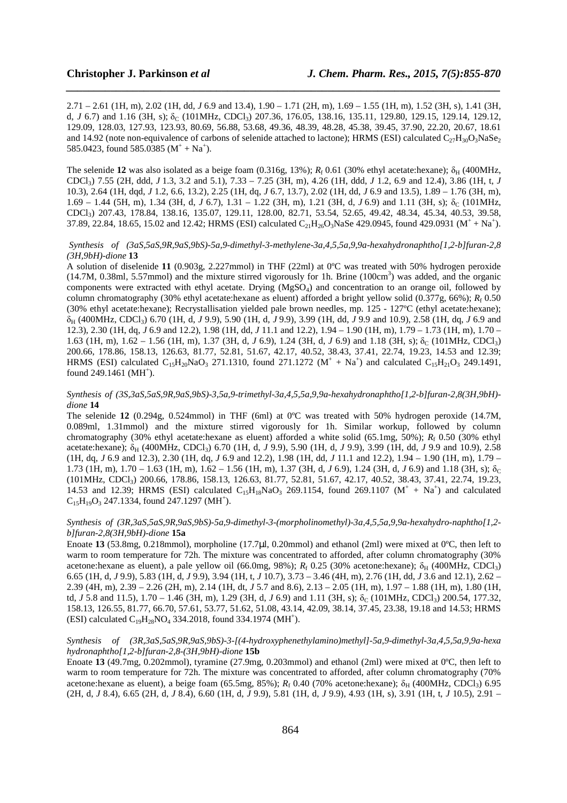2.71 – 2.61 (1H, m), 2.02 (1H, dd, *J* 6.9 and 13.4), 1.90 – 1.71 (2H, m), 1.69 – 1.55 (1H, m), 1.52 (3H, s), 1.41 (3H, d, *J* 6.7) and 1.16 (3H, s);  $\delta_C$  (101MHz, CDCl<sub>3</sub>) 207.36, 176.05, 138.16, 135.11, 129.80, 129.15, 129.14, 129.12, 129.09, 128.03, 127.93, 123.93, 80.69, 56.88, 53.68, 49.36, 48.39, 48.28, 45.38, 39.45, 37.90, 22.20, 20.67, 18.61 and 14.92 (note non-equivalence of carbons of selenide attached to lactone); HRMS (ESI) calculated  $C_{27}H_{30}O_3NaSe_2$ 585.0423, found 585.0385  $(M^+ + Na^+)$ .

*\_\_\_\_\_\_\_\_\_\_\_\_\_\_\_\_\_\_\_\_\_\_\_\_\_\_\_\_\_\_\_\_\_\_\_\_\_\_\_\_\_\_\_\_\_\_\_\_\_\_\_\_\_\_\_\_\_\_\_\_\_\_\_\_\_\_\_\_\_\_\_\_\_\_\_\_\_\_*

The selenide 12 was also isolated as a beige foam  $(0.316g, 13%)$ ;  $R_f 0.61$  (30% ethyl acetate:hexane);  $\delta_H$  (400MHz, CDCl3) 7.55 (2H, ddd, *J* 1.3, 3.2 and 5.1), 7.33 – 7.25 (3H, m), 4.26 (1H, ddd, *J* 1.2, 6.9 and 12.4), 3.86 (1H, t, *J* 10.3), 2.64 (1H, dqd, *J* 1.2, 6.6, 13.2), 2.25 (1H, dq, *J* 6.7, 13.7), 2.02 (1H, dd, *J* 6.9 and 13.5), 1.89 – 1.76 (3H, m), 1.69 – 1.44 (5H, m), 1.34 (3H, d, *J* 6.7), 1.31 – 1.22 (3H, m), 1.21 (3H, d, *J* 6.9) and 1.11 (3H, s);  $\delta_c$  (101MHz, CDCl3) 207.43, 178.84, 138.16, 135.07, 129.11, 128.00, 82.71, 53.54, 52.65, 49.42, 48.34, 45.34, 40.53, 39.58, 37.89, 22.84, 18.65, 15.02 and 12.42; HRMS (ESI) calculated  $C_{21}H_{26}O_3NaSe$  429.0945, found 429.0931 ( $M^+ + Na^+$ ).

#### *Synthesis of (3aS,5aS,9R,9aS,9bS)-5a,9-dimethyl-3-methylene-3a,4,5,5a,9,9a-hexahydronaphtho[1,2-b]furan-2,8 (3H,9bH)-dione* **13**

A solution of diselenide **11** (0.903g, 2.227mmol) in THF (22ml) at 0ºC was treated with 50% hydrogen peroxide  $(14.7M, 0.38m, 5.57mmol)$  and the mixture stirred vigorously for 1h. Brine  $(100cm<sup>3</sup>)$  was added, and the organic components were extracted with ethyl acetate. Drying  $(MgSO<sub>4</sub>)$  and concentration to an orange oil, followed by column chromatography (30% ethyl acetate:hexane as eluent) afforded a bright yellow solid (0.377g, 66%);  $R_f$  0.50 (30% ethyl acetate:hexane); Recrystallisation yielded pale brown needles, mp. 125 - 127ºC (ethyl acetate:hexane); δH (400MHz, CDCl3) 6.70 (1H, d, *J* 9.9), 5.90 (1H, d, *J* 9.9), 3.99 (1H, dd, *J* 9.9 and 10.9), 2.58 (1H, dq, *J* 6.9 and 12.3), 2.30 (1H, dq, *J* 6.9 and 12.2), 1.98 (1H, dd, *J* 11.1 and 12.2), 1.94 – 1.90 (1H, m), 1.79 – 1.73 (1H, m), 1.70 – 1.63 (1H, m), 1.62 – 1.56 (1H, m), 1.37 (3H, d, *J* 6.9), 1.24 (3H, d, *J* 6.9) and 1.18 (3H, s);  $\delta_c$  (101MHz, CDCl<sub>3</sub>) 200.66, 178.86, 158.13, 126.63, 81.77, 52.81, 51.67, 42.17, 40.52, 38.43, 37.41, 22.74, 19.23, 14.53 and 12.39; HRMS (ESI) calculated  $C_{15}H_{20}NaO_3$  271.1310, found 271.1272 ( $M^+ + Na^+$ ) and calculated  $C_{15}H_{21}O_3$  249.1491, found  $249.1461$  (MH<sup>+</sup>).

# *Synthesis of (3S,3aS,5aS,9R,9aS,9bS)-3,5a,9-trimethyl-3a,4,5,5a,9,9a-hexahydronaphtho[1,2-b]furan-2,8(3H,9bH) dione* **14**

The selenide **12** (0.294g, 0.524mmol) in THF (6ml) at 0ºC was treated with 50% hydrogen peroxide (14.7M, 0.089ml, 1.31mmol) and the mixture stirred vigorously for 1h. Similar workup, followed by column chromatography (30% ethyl acetate:hexane as eluent) afforded a white solid (65.1mg, 50%); *R*<sup>f</sup> 0.50 (30% ethyl acetate:hexane);  $\delta_H$  (400MHz, CDCl<sub>3</sub>) 6.70 (1H, d, *J* 9.9), 5.90 (1H, d, *J* 9.9), 3.99 (1H, dd, *J* 9.9 and 10.9), 2.58 (1H, dq, *J* 6.9 and 12.3), 2.30 (1H, dq, *J* 6.9 and 12.2), 1.98 (1H, dd, *J* 11.1 and 12.2), 1.94 – 1.90 (1H, m), 1.79 – 1.73 (1H, m),  $1.70 - 1.63$  (1H, m),  $1.62 - 1.56$  (1H, m),  $1.37$  (3H, d, *J* 6.9), 1.24 (3H, d, *J* 6.9) and 1.18 (3H, s);  $\delta_c$ (101MHz, CDCl3) 200.66, 178.86, 158.13, 126.63, 81.77, 52.81, 51.67, 42.17, 40.52, 38.43, 37.41, 22.74, 19.23, 14.53 and 12.39; HRMS (ESI) calculated  $C_{15}H_{18}NaO_3$  269.1154, found 269.1107 ( $M^+ + Na^+$ ) and calculated  $C_{15}H_{19}O_3$  247.1334, found 247.1297 (MH<sup>+</sup>).

# *Synthesis of (3R,3aS,5aS,9R,9aS,9bS)-5a,9-dimethyl-3-(morpholinomethyl)-3a,4,5,5a,9,9a-hexahydro-naphtho[1,2 b]furan-2,8(3H,9bH)-dione* **15a**

Enoate 13 (53.8mg, 0.218mmol), morpholine (17.7µl, 0.20mmol) and ethanol (2ml) were mixed at 0°C, then left to warm to room temperature for 72h. The mixture was concentrated to afforded, after column chromatography (30% acetone:hexane as eluent), a pale yellow oil (66.0mg, 98%);  $R_f$  0.25 (30% acetone:hexane);  $\delta_H$  (400MHz, CDCl<sub>3</sub>) 6.65 (1H, d, *J* 9.9), 5.83 (1H, d, *J* 9.9), 3.94 (1H, t, *J* 10.7), 3.73 – 3.46 (4H, m), 2.76 (1H, dd, *J* 3.6 and 12.1), 2.62 – 2.39 (4H, m), 2.39 – 2.26 (2H, m), 2.14 (1H, dt, *J* 5.7 and 8.6), 2.13 – 2.05 (1H, m), 1.97 – 1.88 (1H, m), 1.80 (1H, td, *J* 5.8 and 11.5), 1.70 – 1.46 (3H, m), 1.29 (3H, d, *J* 6.9) and 1.11 (3H, s);  $\delta_c$  (101MHz, CDCl<sub>3</sub>) 200.54, 177.32, 158.13, 126.55, 81.77, 66.70, 57.61, 53.77, 51.62, 51.08, 43.14, 42.09, 38.14, 37.45, 23.38, 19.18 and 14.53; HRMS (ESI) calculated  $C_{19}H_{28}NO_4$  334.2018, found 334.1974 (MH<sup>+</sup>).

# *Synthesis of (3R,3aS,5aS,9R,9aS,9bS)-3-[(4-hydroxyphenethylamino)methyl]-5a,9-dimethyl-3a,4,5,5a,9,9a-hexa hydronaphtho[1,2-b]furan-2,8-(3H,9bH)-dione* **15b**

Enoate **13** (49.7mg, 0.202mmol), tyramine (27.9mg, 0.203mmol) and ethanol (2ml) were mixed at 0ºC, then left to warm to room temperature for 72h. The mixture was concentrated to afforded, after column chromatography (70%) acetone:hexane as eluent), a beige foam (65.5mg, 85%);  $R_f$  0.40 (70% acetone:hexane);  $\delta_H$  (400MHz, CDCl<sub>3</sub>) 6.95 (2H, d, *J* 8.4), 6.65 (2H, d, *J* 8.4), 6.60 (1H, d, *J* 9.9), 5.81 (1H, d, *J* 9.9), 4.93 (1H, s), 3.91 (1H, t, *J* 10.5), 2.91 –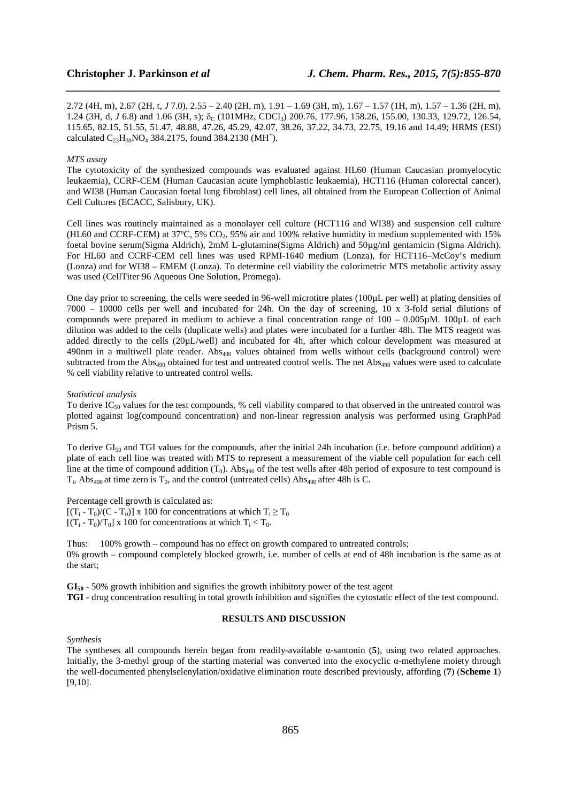2.72 (4H, m), 2.67 (2H, t, *J* 7.0), 2.55 – 2.40 (2H, m), 1.91 – 1.69 (3H, m), 1.67 – 1.57 (1H, m), 1.57 – 1.36 (2H, m), 1.24 (3H, d, *J* 6.8) and 1.06 (3H, s); δ<sub>C</sub> (101MHz, CDCl<sub>3</sub>) 200.76, 177.96, 158.26, 155.00, 130.33, 129.72, 126.54, 115.65, 82.15, 51.55, 51.47, 48.88, 47.26, 45.29, 42.07, 38.26, 37.22, 34.73, 22.75, 19.16 and 14.49; HRMS (ESI) calculated  $C_{23}H_{30}NO_4$  384.2175, found 384.2130 (MH<sup>+</sup>).

*\_\_\_\_\_\_\_\_\_\_\_\_\_\_\_\_\_\_\_\_\_\_\_\_\_\_\_\_\_\_\_\_\_\_\_\_\_\_\_\_\_\_\_\_\_\_\_\_\_\_\_\_\_\_\_\_\_\_\_\_\_\_\_\_\_\_\_\_\_\_\_\_\_\_\_\_\_\_*

#### *MTS assay*

The cytotoxicity of the synthesized compounds was evaluated against HL60 (Human Caucasian promyelocytic leukaemia), CCRF-CEM (Human Caucasian acute lymphoblastic leukaemia), HCT116 (Human colorectal cancer), and WI38 (Human Caucasian foetal lung fibroblast) cell lines, all obtained from the European Collection of Animal Cell Cultures (ECACC, Salisbury, UK).

Cell lines was routinely maintained as a monolayer cell culture (HCT116 and WI38) and suspension cell culture (HL60 and CCRF-CEM) at 37°C, 5% CO<sub>2</sub>, 95% air and 100% relative humidity in medium supplemented with 15% foetal bovine serum(Sigma Aldrich), 2mM L-glutamine(Sigma Aldrich) and 50µg/ml gentamicin (Sigma Aldrich). For HL60 and CCRF-CEM cell lines was used RPMI-1640 medium (Lonza), for HCT116–McCoy's medium (Lonza) and for WI38 – EMEM (Lonza). To determine cell viability the colorimetric MTS metabolic activity assay was used (CellTiter 96 Aqueous One Solution, Promega).

One day prior to screening, the cells were seeded in 96-well microtitre plates (100µL per well) at plating densities of 7000 – 10000 cells per well and incubated for 24h. On the day of screening, 10 x 3-fold serial dilutions of compounds were prepared in medium to achieve a final concentration range of  $100 - 0.005\mu$ M. 100 $\mu$ L of each dilution was added to the cells (duplicate wells) and plates were incubated for a further 48h. The MTS reagent was added directly to the cells (20µL/well) and incubated for 4h, after which colour development was measured at 490nm in a multiwell plate reader. Abs<sub>490</sub> values obtained from wells without cells (background control) were subtracted from the Abs<sub>490</sub> obtained for test and untreated control wells. The net Abs<sub>490</sub> values were used to calculate % cell viability relative to untreated control wells.

#### *Statistical analysis*

To derive  $IC_{50}$  values for the test compounds, % cell viability compared to that observed in the untreated control was plotted against log(compound concentration) and non-linear regression analysis was performed using GraphPad Prism 5.

To derive  $GI_{50}$  and TGI values for the compounds, after the initial 24h incubation (i.e. before compound addition) a plate of each cell line was treated with MTS to represent a measurement of the viable cell population for each cell line at the time of compound addition  $(T_0)$ . Abs<sub>490</sub> of the test wells after 48h period of exposure to test compound is  $T_i$ , Abs<sub>490</sub> at time zero is  $T_0$ , and the control (untreated cells) Abs<sub>490</sub> after 48h is C.

Percentage cell growth is calculated as:

 $[(T_i - T_0)/(C - T_0)] \times 100$  for concentrations at which  $T_i \ge T_0$  $[(T_i - T_0)/T_0]$  x 100 for concentrations at which  $T_i < T_0$ .

Thus: 100% growth – compound has no effect on growth compared to untreated controls; 0% growth – compound completely blocked growth, i.e. number of cells at end of 48h incubation is the same as at the start;

**GI<sup>50</sup>** - 50% growth inhibition and signifies the growth inhibitory power of the test agent **TGI** - drug concentration resulting in total growth inhibition and signifies the cytostatic effect of the test compound.

#### **RESULTS AND DISCUSSION**

*Synthesis* 

The syntheses all compounds herein began from readily-available α-santonin (**5**), using two related approaches. Initially, the 3-methyl group of the starting material was converted into the exocyclic α-methylene moiety through the well-documented phenylselenylation/oxidative elimination route described previously, affording (**7**) (**Scheme 1**) [9,10].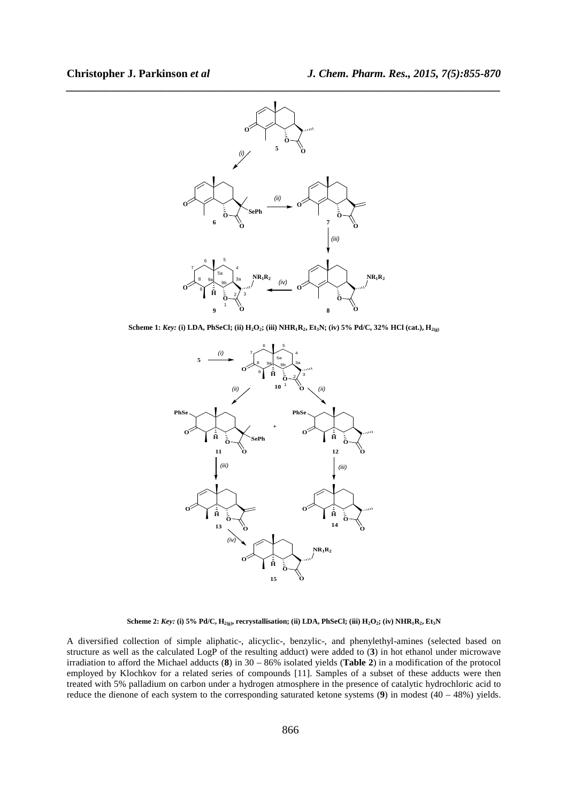

**Scheme 1:** *Key:* **(i) LDA, PhSeCl; (ii) H2O2; (iii) NHR1R2, Et3N; (iv) 5% Pd/C, 32% HCl (cat.), H2(g)**



Scheme 2:  $Key:$  (i) 5% Pd/C,  $H_{2(g)}$ , recrystallisation; (ii) LDA, PhSeCl; (iii)  $H_2O_2$ ; (iv)  $NHR_1R_2$ , Et<sub>3</sub>N

A diversified collection of simple aliphatic-, alicyclic-, benzylic-, and phenylethyl-amines (selected based on structure as well as the calculated LogP of the resulting adduct) were added to (**3**) in hot ethanol under microwave irradiation to afford the Michael adducts (**8**) in 30 – 86% isolated yields (**Table 2**) in a modification of the protocol employed by Klochkov for a related series of compounds [11]. Samples of a subset of these adducts were then treated with 5% palladium on carbon under a hydrogen atmosphere in the presence of catalytic hydrochloric acid to reduce the dienone of each system to the corresponding saturated ketone systems (**9**) in modest (40 – 48%) yields.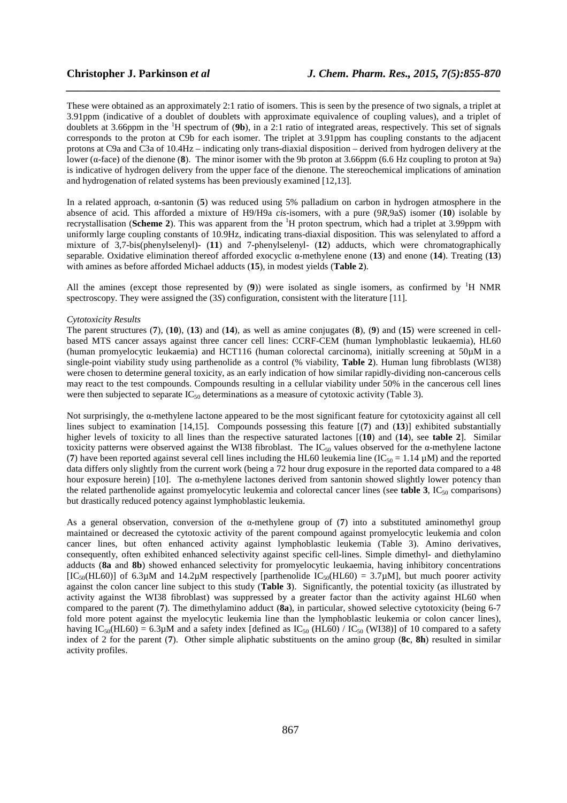These were obtained as an approximately 2:1 ratio of isomers. This is seen by the presence of two signals, a triplet at 3.91ppm (indicative of a doublet of doublets with approximate equivalence of coupling values), and a triplet of doublets at 3.66ppm in the <sup>1</sup>H spectrum of (**9b**), in a 2:1 ratio of integrated areas, respectively. This set of signals corresponds to the proton at C9b for each isomer. The triplet at 3.91ppm has coupling constants to the adjacent protons at C9a and C3a of 10.4Hz – indicating only trans-diaxial disposition – derived from hydrogen delivery at the lower (α-face) of the dienone (**8**). The minor isomer with the 9b proton at 3.66ppm (6.6 Hz coupling to proton at 9a) is indicative of hydrogen delivery from the upper face of the dienone. The stereochemical implications of amination and hydrogenation of related systems has been previously examined [12,13].

*\_\_\_\_\_\_\_\_\_\_\_\_\_\_\_\_\_\_\_\_\_\_\_\_\_\_\_\_\_\_\_\_\_\_\_\_\_\_\_\_\_\_\_\_\_\_\_\_\_\_\_\_\_\_\_\_\_\_\_\_\_\_\_\_\_\_\_\_\_\_\_\_\_\_\_\_\_\_*

In a related approach, α-santonin (**5**) was reduced using 5% palladium on carbon in hydrogen atmosphere in the absence of acid. This afforded a mixture of H9/H9a *cis*-isomers, with a pure (9*R*,9a*S*) isomer (**10**) isolable by recrystallisation (**Scheme 2**). This was apparent from the <sup>1</sup>H proton spectrum, which had a triplet at 3.99ppm with uniformly large coupling constants of 10.9Hz, indicating trans-diaxial disposition. This was selenylated to afford a mixture of 3,7-bis(phenylselenyl)- (**11**) and 7-phenylselenyl- (**12**) adducts, which were chromatographically separable. Oxidative elimination thereof afforded exocyclic α-methylene enone (**13**) and enone (**14**). Treating (**13**) with amines as before afforded Michael adducts (**15**), in modest yields (**Table 2**).

All the amines (except those represented by  $(9)$ ) were isolated as single isomers, as confirmed by <sup>1</sup>H NMR spectroscopy. They were assigned the (3*S*) configuration, consistent with the literature [11].

#### *Cytotoxicity Results*

The parent structures (**7**), (**10**), (**13**) and (**14**), as well as amine conjugates (**8**), (**9**) and (**15**) were screened in cellbased MTS cancer assays against three cancer cell lines: CCRF-CEM (human lymphoblastic leukaemia), HL60 (human promyelocytic leukaemia) and HCT116 (human colorectal carcinoma), initially screening at 50µM in a single-point viability study using parthenolide as a control (% viability, **Table 2**). Human lung fibroblasts (WI38) were chosen to determine general toxicity, as an early indication of how similar rapidly-dividing non-cancerous cells may react to the test compounds. Compounds resulting in a cellular viability under 50% in the cancerous cell lines were then subjected to separate  $IC_{50}$  determinations as a measure of cytotoxic activity (Table 3).

Not surprisingly, the α-methylene lactone appeared to be the most significant feature for cytotoxicity against all cell lines subject to examination [14,15]. Compounds possessing this feature [(**7**) and (**13**)] exhibited substantially higher levels of toxicity to all lines than the respective saturated lactones [(**10**) and (**14**), see **table 2**]. Similar toxicity patterns were observed against the WI38 fibroblast. The IC<sub>50</sub> values observed for the α-methylene lactone (7) have been reported against several cell lines including the HL60 leukemia line  $(IC_{50} = 1.14 \mu M)$  and the reported data differs only slightly from the current work (being a 72 hour drug exposure in the reported data compared to a 48 hour exposure herein) [10]. The  $\alpha$ -methylene lactones derived from santonin showed slightly lower potency than the related parthenolide against promyelocytic leukemia and colorectal cancer lines (see **table 3**, IC50 comparisons) but drastically reduced potency against lymphoblastic leukemia.

As a general observation, conversion of the  $\alpha$ -methylene group of (7) into a substituted aminomethyl group maintained or decreased the cytotoxic activity of the parent compound against promyelocytic leukemia and colon cancer lines, but often enhanced activity against lymphoblastic leukemia (Table 3). Amino derivatives, consequently, often exhibited enhanced selectivity against specific cell-lines. Simple dimethyl- and diethylamino adducts (**8a** and **8b**) showed enhanced selectivity for promyelocytic leukaemia, having inhibitory concentrations [IC<sub>50</sub>(HL60)] of 6.3 $\mu$ M and 14.2 $\mu$ M respectively [parthenolide IC<sub>50</sub>(HL60) = 3.7 $\mu$ M], but much poorer activity against the colon cancer line subject to this study (**Table 3**). Significantly, the potential toxicity (as illustrated by activity against the WI38 fibroblast) was suppressed by a greater factor than the activity against HL60 when compared to the parent (**7**). The dimethylamino adduct (**8a**), in particular, showed selective cytotoxicity (being 6-7 fold more potent against the myelocytic leukemia line than the lymphoblastic leukemia or colon cancer lines), having IC<sub>50</sub>(HL60) = 6.3µM and a safety index [defined as IC<sub>50</sub> (HL60) / IC<sub>50</sub> (WI38)] of 10 compared to a safety index of 2 for the parent (**7**). Other simple aliphatic substituents on the amino group (**8c**, **8h**) resulted in similar activity profiles.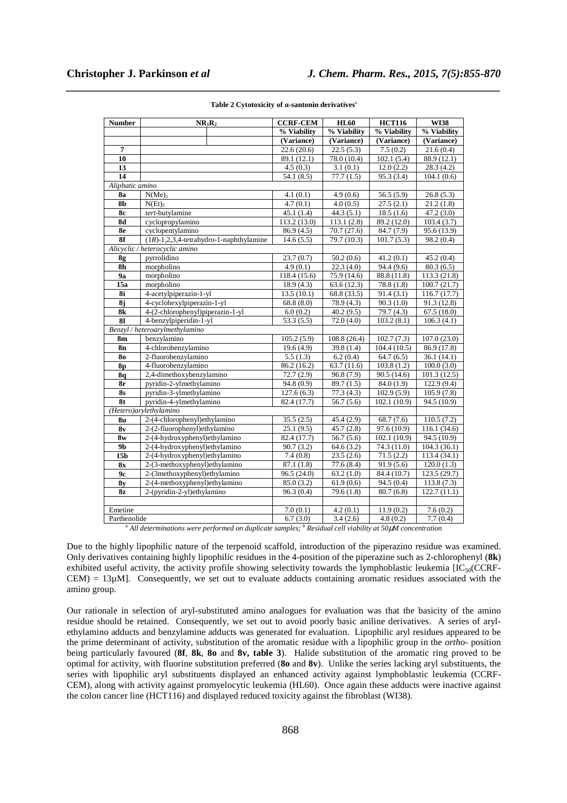| <b>Number</b>                  | $NR_1R_2$                                  | <b>CCRF-CEM</b>         | <b>HL60</b>             | <b>HCT116</b>           | <b>WI38</b>  |
|--------------------------------|--------------------------------------------|-------------------------|-------------------------|-------------------------|--------------|
|                                |                                            | % Viability             | % Viability             | % Viability             | % Viability  |
|                                |                                            | (Variance)              | (Variance)              | (Variance)              | (Variance)   |
| 7                              |                                            | 22.6(20.6)              | 22.5(5.3)               | 7.5(0.2)                | 21.6(0.4)    |
| 10                             |                                            | 89.1 (12.1)             | 78.0 (10.4)             | 102.1(5.4)              | 88.9 (12.1)  |
| 13                             |                                            | 4.5(0.3)                | 3.1(0.1)                | 12.0(2.2)               | 28.3(4.2)    |
| 14                             |                                            | 54.1(8.5)               | 77.7(1.5)               | 95.3 (3.4)              | 104.1(0.6)   |
| Aliphatic amino                |                                            |                         |                         |                         |              |
| <b>8a</b>                      | N(Me) <sub>2</sub>                         | 4.1(0.1)                | 4.9(0.6)                | 56.5(5.9)               | 26.8(5.3)    |
| 8 <sub>b</sub>                 | N(Et)                                      | 4.7(0.1)                | 4.0(0.5)                | 27.5(2.1)               | 21.2(1.8)    |
| 8с                             | tert-butylamine                            | 45.1(1.4)               | 44.3(5.1)               | $\overline{18.5}$ (1.6) | 47.2(3.0)    |
| 8d                             | cyclopropylamino                           | 113.2 (13.0)            | 113.1(2.8)              | 89.2 (12.0)             | 103.4(3.7)   |
| 8e                             | cyclopentylamino                           | 86.9(4.5)               | 70.7(27.6)              | 84.7 (7.9)              | 95.6 (13.9)  |
| 8f                             | $(1R)-1,2,3,4$ -tetrahydro-1-naphthylamine | 14.6(5.5)               | 79.7 (10.3)             | 101.7(5.3)              | 98.2 (0.4)   |
| Alicyclic / heterocyclic amino |                                            |                         |                         |                         |              |
| 8g                             | pyrrolidino                                | 23.7(0.7)               | 50.2(0.6)               | 41.2(0.1)               | 45.2(0.4)    |
| 8 <sub>h</sub>                 | morpholino                                 | 4.9(0.1)                | 22.3(4.0)               | 94.4 (9.6)              | 80.3(6.5)    |
| 9a                             | morpholino                                 | 118.4 (15.6)            | 75.9 (14.6)             | 88.8 (11.8)             | 113.3 (21.8) |
| 15a                            | morpholino                                 | 18.9(4.3)               | 63.6(12.3)              | 78.8(1.8)               | 100.7(21.7)  |
| 8i                             | 4-acetylpiperazin-1-yl                     | 13.5(10.1)              | 68.8 (33.5)             | 91.4(3.1)               | 116.7(17.7)  |
| 8j                             | 4-cyclohexylpiperazin-1-yl                 | 68.8(8.0)               | 78.9 (4.3)              | 90.3(1.0)               | 91.3 (12.8)  |
| 8k                             | 4-(2-chlorophenyl)piperazin-1-yl           | 6.0(0.2)                | 40.2(9.5)               | 79.7 (4.3)              | 67.5(18.0)   |
| 81                             | 4-benzylpiperidin-1-yl                     | 53.3(5.5)               | 72.0(4.0)               | 103.2(8.1)              | 106.3(4.1)   |
| Benzyl / heteroarylmethylamino |                                            |                         |                         |                         |              |
| 8m                             | benzylamino                                | 105.2(5.9)              | 108.8 (26.4)            | 102.7(7.3)              | 107.0(23.0)  |
| 8n                             | 4-chlorobenzylamino                        | 19.6(4.9)               | 39.8 (1.4)              | 104.4(10.5)             | 86.9 (17.8)  |
| 80                             | 2-fluorobenzylamino                        | 5.5(1.3)                | 6.2(0.4)                | 64.7(6.5)               | 36.1(14.1)   |
| <b>8p</b>                      | 4-fluorobenzylamino                        | 86.2 (16.2)             | 63.7(11.6)              | 103.8(1.2)              | 100.0(3.0)   |
| <b>8q</b>                      | 2,4-dimethoxybenzylamino                   | 72.7(2.9)               | $\overline{96.8}$ (7.9) | 90.5(14.6)              | 101.3(12.5)  |
| 8r                             | pyridin-2-ylmethylamino                    | 94.8(0.9)               | 89.7(1.5)               | 84.0(1.9)               | 122.9(9.4)   |
| <b>8s</b>                      | pyridin-3-ylmethylamino                    | 127.6(6.3)              | 77.3(4.3)               | 102.9(5.9)              | 105.9(7.8)   |
| 8t                             | pyridin-4-ylmethylamino                    | 82.4 (17.7)             | 56.7(5.6)               | 102.1 (10.9)            | 94.5 (10.9)  |
| (Hetero) arylethylamino        |                                            |                         |                         |                         |              |
| 8 <sub>u</sub>                 | 2-(4-chlorophenyl)ethylamino               | 35.5(2.5)               | 45.4 (2.9)              | 68.7(7.6)               | 110.5(7.2)   |
| 8v                             | 2-(2-fluorophenyl)ethylamino               | 25.1(9.5)               | 45.7(2.8)               | 97.6 (10.9)             | 116.1 (34.6) |
| 8w                             | 2-(4-hydroxyphenyl)ethylamino              | 82.4 (17.7)             | 56.7(5.6)               | 102.1 (10.9)            | 94.5 (10.9)  |
| 9 <sub>b</sub>                 | 2-(4-hydroxyphenyl)ethylamino              | $\overline{90.7}$ (3.2) | 64.6(3.2)               | 74.3 (11.0)             | 104.3(36.1)  |
| 15 <sub>b</sub>                | 2-(4-hydroxyphenyl)ethylamino              | 7.4(0.8)                | 23.5(2.6)               | $\overline{71.5}$ (2.2) | 113.4 (34.1) |
| <b>8x</b>                      | 2-(3-methoxyphenyl)ethylamino              | 87.1 (1.8)              | 77.6(8.4)               | 91.9(5.6)               | 120.0(1.3)   |
| 9c                             | 2-(3methoxyphenyl)ethylamino               | 96.5 (24.0)             | 63.2(1.0)               | 84.4 (10.7)             | 123.5 (29.7) |
| 8y                             | 2-(4-methoxyphenyl)ethylamino              | 85.0(3.2)               | 61.9(0.6)               | 94.5(0.4)               | 113.8(7.3)   |
| 8z                             | 2-(pyridin-2-yl)ethylamino                 | 96.3(0.4)               | 79.6(1.8)               | 80.7(6.8)               | 122.7(11.1)  |
|                                |                                            |                         |                         |                         |              |
| Emetine                        |                                            | 7.0(0.1)                | 4.2(0.1)                | 11.9(0.2)               | 7.6(0.2)     |
| Parthenolide                   |                                            | 6.7(3.0)                | 3.4(2.6)                | 4.8(0.2)                | 7.7(0.4)     |

# *\_\_\_\_\_\_\_\_\_\_\_\_\_\_\_\_\_\_\_\_\_\_\_\_\_\_\_\_\_\_\_\_\_\_\_\_\_\_\_\_\_\_\_\_\_\_\_\_\_\_\_\_\_\_\_\_\_\_\_\_\_\_\_\_\_\_\_\_\_\_\_\_\_\_\_\_\_\_* **Table 2 Cytotoxicity of α-santonin derivatives**<sup>a</sup>

*a All determinations were performed on duplicate samples; <sup>b</sup> Residual cell viability at 50*µ*M concentration* 

Due to the highly lipophilic nature of the terpenoid scaffold, introduction of the piperazino residue was examined. Only derivatives containing highly lipophilic residues in the 4-position of the piperazine such as 2-chlorophenyl (**8k**) exhibited useful activity, the activity profile showing selectivity towards the lymphoblastic leukemia  $[IC_{50}(CRF CEM$ ) = 13 $\mu$ M]. Consequently, we set out to evaluate adducts containing aromatic residues associated with the amino group.

Our rationale in selection of aryl-substituted amino analogues for evaluation was that the basicity of the amino residue should be retained. Consequently, we set out to avoid poorly basic aniline derivatives. A series of arylethylamino adducts and benzylamine adducts was generated for evaluation. Lipophilic aryl residues appeared to be the prime determinant of activity, substitution of the aromatic residue with a lipophilic group in the *ortho-* position being particularly favoured (**8f**, **8k**, **8o** and **8v, table 3**). Halide substitution of the aromatic ring proved to be optimal for activity, with fluorine substitution preferred (**8o** and **8v**). Unlike the series lacking aryl substituents, the series with lipophilic aryl substituents displayed an enhanced activity against lymphoblastic leukemia (CCRF-CEM), along with activity against promyelocytic leukemia (HL60). Once again these adducts were inactive against the colon cancer line (HCT116) and displayed reduced toxicity against the fibroblast (WI38).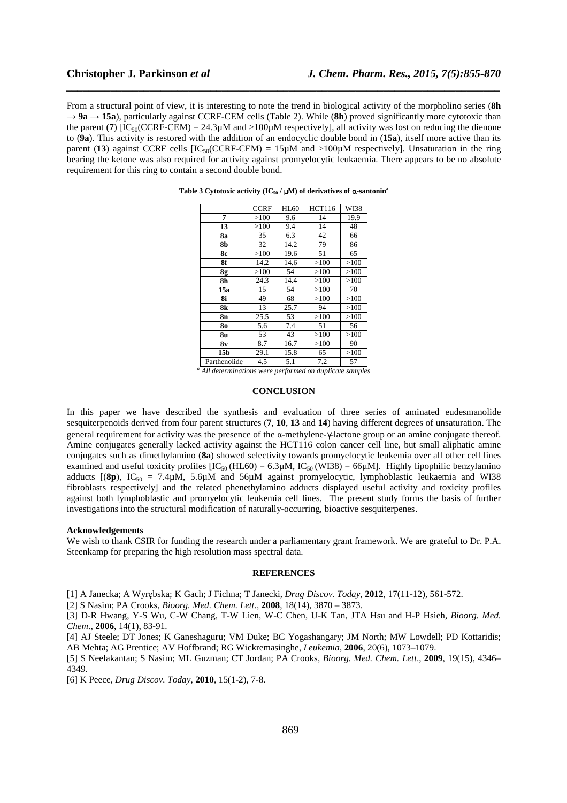From a structural point of view, it is interesting to note the trend in biological activity of the morpholino series (**8h** → **9a** → **15a**), particularly against CCRF-CEM cells (Table 2). While (**8h**) proved significantly more cytotoxic than the parent (**7**)  $[IC_{50}(CCFF-CEM) = 24.3\mu M$  and  $>100\mu M$  respectively], all activity was lost on reducing the dienone to (**9a**). This activity is restored with the addition of an endocyclic double bond in (**15a**), itself more active than its parent (13) against CCRF cells  $[IC_{50}(CCFF-CEM) = 15\mu M$  and  $>100\mu M$  respectively]. Unsaturation in the ring bearing the ketone was also required for activity against promyelocytic leukaemia. There appears to be no absolute requirement for this ring to contain a second double bond.

*\_\_\_\_\_\_\_\_\_\_\_\_\_\_\_\_\_\_\_\_\_\_\_\_\_\_\_\_\_\_\_\_\_\_\_\_\_\_\_\_\_\_\_\_\_\_\_\_\_\_\_\_\_\_\_\_\_\_\_\_\_\_\_\_\_\_\_\_\_\_\_\_\_\_\_\_\_\_*

|                 | <b>CCRF</b> | <b>HL60</b> | <b>HCT116</b> | WI38 |
|-----------------|-------------|-------------|---------------|------|
| 7               | >100        | 9.6         | 14            | 19.9 |
| 13              | >100        | 9.4         | 14            | 48   |
| 8a              | 35          | 6.3         | 42            | 66   |
| 8b              | 32          | 14.2        | 79            | 86   |
| 8с              | >100        | 19.6        | 51            | 65   |
| 8f              | 14.2        | 14.6        | >100          | >100 |
| 8g              | >100        | 54          | >100          | >100 |
| 8h              | 24.3        | 14.4        | >100          | >100 |
| 15a             | 15          | 54          | >100          | 70   |
| 8i              | 49          | 68          | >100          | >100 |
| 8k              | 13          | 25.7        | 94            | >100 |
| 8n              | 25.5        | 53          | >100          | >100 |
| 80              | 5.6         | 7.4         | 51            | 56   |
| 8u              | 53          | 43          | >100          | >100 |
| 8v              | 8.7         | 16.7        | >100          | 90   |
| 15 <sub>b</sub> | 29.1        | 15.8        | 65            | >100 |
| Parthenolide    | 4.5         | 5.1         | 7.2           | 57   |

#### **Table 3 Cytotoxic activity (IC50 /** µ**M) of derivatives of** α**-santonin**<sup>a</sup>

*a All determinations were performed on duplicate samples* 

# **CONCLUSION**

In this paper we have described the synthesis and evaluation of three series of aminated eudesmanolide sesquiterpenoids derived from four parent structures (**7**, **10**, **13** and **14**) having different degrees of unsaturation. The general requirement for activity was the presence of the α-methylene-γ-lactone group or an amine conjugate thereof. Amine conjugates generally lacked activity against the HCT116 colon cancer cell line, but small aliphatic amine conjugates such as dimethylamino (**8a**) showed selectivity towards promyelocytic leukemia over all other cell lines examined and useful toxicity profiles  $[IC_{50} (HL60) = 6.3 \mu M, IC_{50} (W138) = 66 \mu M]$ . Highly lipophilic benzylamino adducts  $[(8p)$ , IC<sub>50</sub> = 7.4µM, 5.6µM and 56µM against promyelocytic, lymphoblastic leukaemia and WI38 fibroblasts respectively] and the related phenethylamino adducts displayed useful activity and toxicity profiles against both lymphoblastic and promyelocytic leukemia cell lines. The present study forms the basis of further investigations into the structural modification of naturally-occurring, bioactive sesquiterpenes.

# **Acknowledgements**

We wish to thank CSIR for funding the research under a parliamentary grant framework. We are grateful to Dr. P.A. Steenkamp for preparing the high resolution mass spectral data.

#### **REFERENCES**

[1] A Janecka; A Wyrębska; K Gach; J Fichna; T Janecki, *Drug Discov. Today*, **2012**, 17(11-12), 561-572.

[2] S Nasim; PA Crooks, *Bioorg. Med. Chem. Lett.,* **2008**, 18(14), 3870 – 3873.

[3] D-R Hwang, Y-S Wu, C-W Chang, T-W Lien, W-C Chen, U-K Tan, JTA Hsu and H-P Hsieh, *Bioorg. Med. Chem.*, **2006**, 14(1), 83-91.

[4] AJ Steele; DT Jones; K Ganeshaguru; VM Duke; BC Yogashangary; JM North; MW Lowdell; PD Kottaridis; AB Mehta; AG Prentice; AV Hoffbrand; RG Wickremasinghe, *Leukemia*, **2006**, 20(6), 1073–1079.

[5] S Neelakantan; S Nasim; ML Guzman; CT Jordan; PA Crooks, *Bioorg. Med. Chem. Lett*., **2009**, 19(15), 4346– 4349.

[6] K Peece, *Drug Discov. Today*, **2010**, 15(1-2), 7-8.